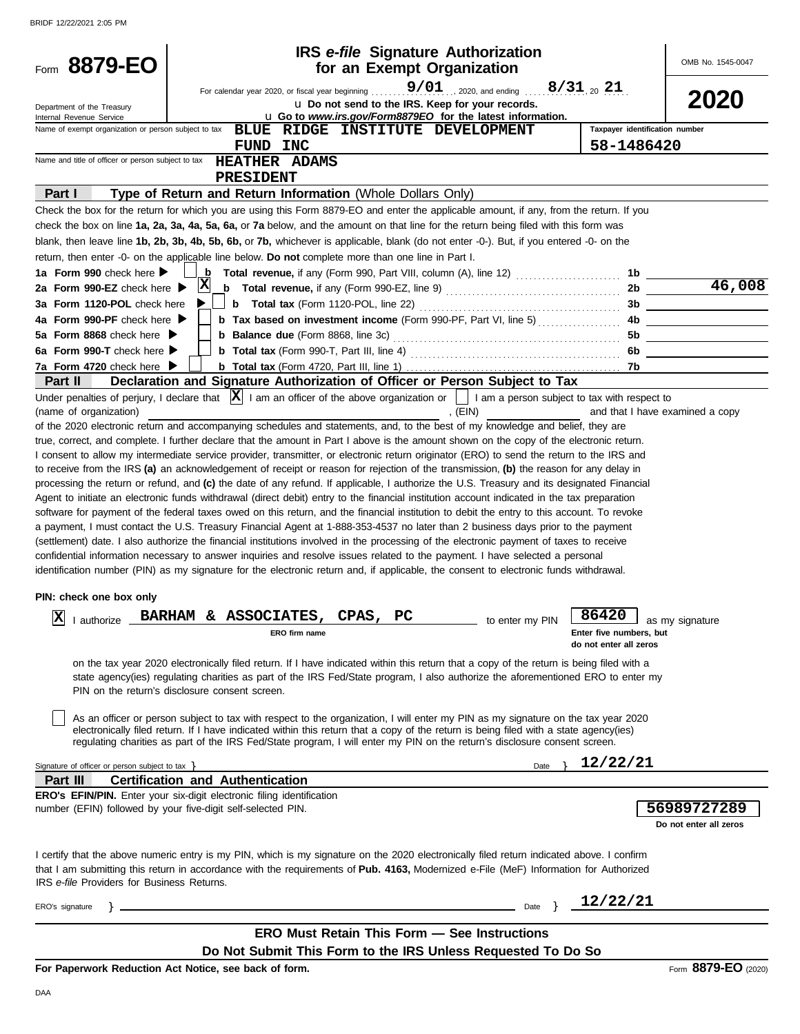| Form 8879-EO                                                                                                                                                                                                                                                                          |                                                |                                                                                                                                                                                                                                                                            | <b>IRS</b> e-file Signature Authorization<br>for an Exempt Organization       |                 |                                | OMB No. 1545-0047               |
|---------------------------------------------------------------------------------------------------------------------------------------------------------------------------------------------------------------------------------------------------------------------------------------|------------------------------------------------|----------------------------------------------------------------------------------------------------------------------------------------------------------------------------------------------------------------------------------------------------------------------------|-------------------------------------------------------------------------------|-----------------|--------------------------------|---------------------------------|
| Department of the Treasury<br>Internal Revenue Service                                                                                                                                                                                                                                |                                                | For calendar year 2020, or fiscal year beginning<br>u Go to www.irs.gov/Form8879EO for the latest information.                                                                                                                                                             | $9/01$ , 2020, and ending<br>u Do not send to the IRS. Keep for your records. |                 | $8/31_{20}$ 21                 | <b>2020</b>                     |
| Name of exempt organization or person subject to tax                                                                                                                                                                                                                                  |                                                | <b>BLUE RIDGE</b>                                                                                                                                                                                                                                                          | INSTITUTE DEVELOPMENT                                                         |                 | Taxpayer identification number |                                 |
|                                                                                                                                                                                                                                                                                       | FUND INC                                       |                                                                                                                                                                                                                                                                            |                                                                               |                 | 58-1486420                     |                                 |
| Name and title of officer or person subject to tax                                                                                                                                                                                                                                    |                                                | <b>HEATHER ADAMS</b>                                                                                                                                                                                                                                                       |                                                                               |                 |                                |                                 |
|                                                                                                                                                                                                                                                                                       | PRESIDENT                                      |                                                                                                                                                                                                                                                                            |                                                                               |                 |                                |                                 |
| Part I                                                                                                                                                                                                                                                                                |                                                | Type of Return and Return Information (Whole Dollars Only)                                                                                                                                                                                                                 |                                                                               |                 |                                |                                 |
| Check the box for the return for which you are using this Form 8879-EO and enter the applicable amount, if any, from the return. If you                                                                                                                                               |                                                |                                                                                                                                                                                                                                                                            |                                                                               |                 |                                |                                 |
| check the box on line 1a, 2a, 3a, 4a, 5a, 6a, or 7a below, and the amount on that line for the return being filed with this form was                                                                                                                                                  |                                                |                                                                                                                                                                                                                                                                            |                                                                               |                 |                                |                                 |
| blank, then leave line 1b, 2b, 3b, 4b, 5b, 6b, or 7b, whichever is applicable, blank (do not enter -0-). But, if you entered -0- on the                                                                                                                                               |                                                |                                                                                                                                                                                                                                                                            |                                                                               |                 |                                |                                 |
| return, then enter -0- on the applicable line below. Do not complete more than one line in Part I.<br>1a Form 990 check here ▶                                                                                                                                                        | b                                              |                                                                                                                                                                                                                                                                            |                                                                               |                 | 1b                             |                                 |
| 2a Form 990-EZ check here ▶                                                                                                                                                                                                                                                           | X                                              | <b>b</b> Total revenue, if any (Form 990-EZ, line 9) $\ldots$ $\ldots$ $\ldots$ $\ldots$ $\ldots$ $\ldots$                                                                                                                                                                 |                                                                               |                 | 2b                             | 46,008                          |
| 3a Form 1120-POL check here                                                                                                                                                                                                                                                           |                                                |                                                                                                                                                                                                                                                                            |                                                                               |                 | 3b                             |                                 |
| 4a Form 990-PF check here $\blacktriangleright$                                                                                                                                                                                                                                       |                                                | <b>b</b> Tax based on investment income (Form 990-PF, Part VI, line 5)                                                                                                                                                                                                     |                                                                               |                 | 4b                             |                                 |
| 5a Form 8868 check here $\blacktriangleright$                                                                                                                                                                                                                                         |                                                |                                                                                                                                                                                                                                                                            |                                                                               |                 | 5b                             |                                 |
| 6a Form 990-T check here                                                                                                                                                                                                                                                              |                                                |                                                                                                                                                                                                                                                                            |                                                                               |                 | 6b                             |                                 |
| 7a Form 4720 check here                                                                                                                                                                                                                                                               |                                                |                                                                                                                                                                                                                                                                            |                                                                               |                 | 7b.                            |                                 |
| Part II                                                                                                                                                                                                                                                                               |                                                | Declaration and Signature Authorization of Officer or Person Subject to Tax                                                                                                                                                                                                |                                                                               |                 |                                |                                 |
| Under penalties of perjury, I declare that $\vert x \vert$ I am an officer of the above organization or $\vert$ I am a person subject to tax with respect to                                                                                                                          |                                                |                                                                                                                                                                                                                                                                            |                                                                               |                 |                                |                                 |
| (name of organization)                                                                                                                                                                                                                                                                |                                                |                                                                                                                                                                                                                                                                            | , $(EIN)$                                                                     |                 |                                | and that I have examined a copy |
| of the 2020 electronic return and accompanying schedules and statements, and, to the best of my knowledge and belief, they are                                                                                                                                                        |                                                |                                                                                                                                                                                                                                                                            |                                                                               |                 |                                |                                 |
| true, correct, and complete. I further declare that the amount in Part I above is the amount shown on the copy of the electronic return.<br>I consent to allow my intermediate service provider, transmitter, or electronic return originator (ERO) to send the return to the IRS and |                                                |                                                                                                                                                                                                                                                                            |                                                                               |                 |                                |                                 |
| to receive from the IRS (a) an acknowledgement of receipt or reason for rejection of the transmission, (b) the reason for any delay in                                                                                                                                                |                                                |                                                                                                                                                                                                                                                                            |                                                                               |                 |                                |                                 |
| processing the return or refund, and (c) the date of any refund. If applicable, I authorize the U.S. Treasury and its designated Financial                                                                                                                                            |                                                |                                                                                                                                                                                                                                                                            |                                                                               |                 |                                |                                 |
| Agent to initiate an electronic funds withdrawal (direct debit) entry to the financial institution account indicated in the tax preparation                                                                                                                                           |                                                |                                                                                                                                                                                                                                                                            |                                                                               |                 |                                |                                 |
| software for payment of the federal taxes owed on this return, and the financial institution to debit the entry to this account. To revoke                                                                                                                                            |                                                |                                                                                                                                                                                                                                                                            |                                                                               |                 |                                |                                 |
| a payment, I must contact the U.S. Treasury Financial Agent at 1-888-353-4537 no later than 2 business days prior to the payment                                                                                                                                                      |                                                |                                                                                                                                                                                                                                                                            |                                                                               |                 |                                |                                 |
| (settlement) date. I also authorize the financial institutions involved in the processing of the electronic payment of taxes to receive                                                                                                                                               |                                                |                                                                                                                                                                                                                                                                            |                                                                               |                 |                                |                                 |
| confidential information necessary to answer inquiries and resolve issues related to the payment. I have selected a personal<br>identification number (PIN) as my signature for the electronic return and, if applicable, the consent to electronic funds withdrawal.                 |                                                |                                                                                                                                                                                                                                                                            |                                                                               |                 |                                |                                 |
|                                                                                                                                                                                                                                                                                       |                                                |                                                                                                                                                                                                                                                                            |                                                                               |                 |                                |                                 |
| PIN: check one box only                                                                                                                                                                                                                                                               |                                                |                                                                                                                                                                                                                                                                            |                                                                               |                 |                                |                                 |
| $\mathbf{X}$   authorize $\mathbf{I}$                                                                                                                                                                                                                                                 |                                                | BARHAM & ASSOCIATES, CPAS,                                                                                                                                                                                                                                                 | РC                                                                            |                 | 86420                          |                                 |
|                                                                                                                                                                                                                                                                                       |                                                | ERO firm name                                                                                                                                                                                                                                                              |                                                                               | to enter my PIN | Enter five numbers, but        | $\perp$ as my signature         |
|                                                                                                                                                                                                                                                                                       |                                                |                                                                                                                                                                                                                                                                            |                                                                               |                 | do not enter all zeros         |                                 |
|                                                                                                                                                                                                                                                                                       |                                                | on the tax year 2020 electronically filed return. If I have indicated within this return that a copy of the return is being filed with a                                                                                                                                   |                                                                               |                 |                                |                                 |
|                                                                                                                                                                                                                                                                                       |                                                | state agency(ies) regulating charities as part of the IRS Fed/State program, I also authorize the aforementioned ERO to enter my                                                                                                                                           |                                                                               |                 |                                |                                 |
|                                                                                                                                                                                                                                                                                       | PIN on the return's disclosure consent screen. |                                                                                                                                                                                                                                                                            |                                                                               |                 |                                |                                 |
|                                                                                                                                                                                                                                                                                       |                                                |                                                                                                                                                                                                                                                                            |                                                                               |                 |                                |                                 |
|                                                                                                                                                                                                                                                                                       |                                                | As an officer or person subject to tax with respect to the organization, I will enter my PIN as my signature on the tax year 2020<br>electronically filed return. If I have indicated within this return that a copy of the return is being filed with a state agency(ies) |                                                                               |                 |                                |                                 |
|                                                                                                                                                                                                                                                                                       |                                                | regulating charities as part of the IRS Fed/State program, I will enter my PIN on the return's disclosure consent screen.                                                                                                                                                  |                                                                               |                 |                                |                                 |
|                                                                                                                                                                                                                                                                                       |                                                |                                                                                                                                                                                                                                                                            |                                                                               |                 | 12/22/21                       |                                 |
| Signature of officer or person subject to tax }<br>Part III                                                                                                                                                                                                                           | <b>Certification and Authentication</b>        |                                                                                                                                                                                                                                                                            |                                                                               | Date            |                                |                                 |
| <b>ERO's EFIN/PIN.</b> Enter your six-digit electronic filing identification                                                                                                                                                                                                          |                                                |                                                                                                                                                                                                                                                                            |                                                                               |                 |                                |                                 |
| number (EFIN) followed by your five-digit self-selected PIN.                                                                                                                                                                                                                          |                                                |                                                                                                                                                                                                                                                                            |                                                                               |                 |                                | 56989727289                     |
|                                                                                                                                                                                                                                                                                       |                                                |                                                                                                                                                                                                                                                                            |                                                                               |                 |                                | Do not enter all zeros          |
|                                                                                                                                                                                                                                                                                       |                                                |                                                                                                                                                                                                                                                                            |                                                                               |                 |                                |                                 |
| I certify that the above numeric entry is my PIN, which is my signature on the 2020 electronically filed return indicated above. I confirm                                                                                                                                            |                                                |                                                                                                                                                                                                                                                                            |                                                                               |                 |                                |                                 |
| that I am submitting this return in accordance with the requirements of Pub. 4163, Modernized e-File (MeF) Information for Authorized                                                                                                                                                 |                                                |                                                                                                                                                                                                                                                                            |                                                                               |                 |                                |                                 |
| IRS e-file Providers for Business Returns.                                                                                                                                                                                                                                            |                                                |                                                                                                                                                                                                                                                                            |                                                                               |                 |                                |                                 |
| ERO's signature                                                                                                                                                                                                                                                                       |                                                | <u> 1989 - Johann Stein, marwolaethau a bhann an t-Amhair an t-Amhair an t-Amhair an t-Amhair an t-Amhair an t-A</u>                                                                                                                                                       |                                                                               | Date            | 12/22/21                       |                                 |
|                                                                                                                                                                                                                                                                                       |                                                |                                                                                                                                                                                                                                                                            |                                                                               |                 |                                |                                 |
|                                                                                                                                                                                                                                                                                       |                                                | <b>ERO Must Retain This Form - See Instructions</b>                                                                                                                                                                                                                        |                                                                               |                 |                                |                                 |
|                                                                                                                                                                                                                                                                                       |                                                | Do Not Submit This Form to the IRS Unless Requested To Do So                                                                                                                                                                                                               |                                                                               |                 |                                |                                 |
| For Paperwork Reduction Act Notice, see back of form.                                                                                                                                                                                                                                 |                                                |                                                                                                                                                                                                                                                                            |                                                                               |                 |                                | Form 8879-EO (2020)             |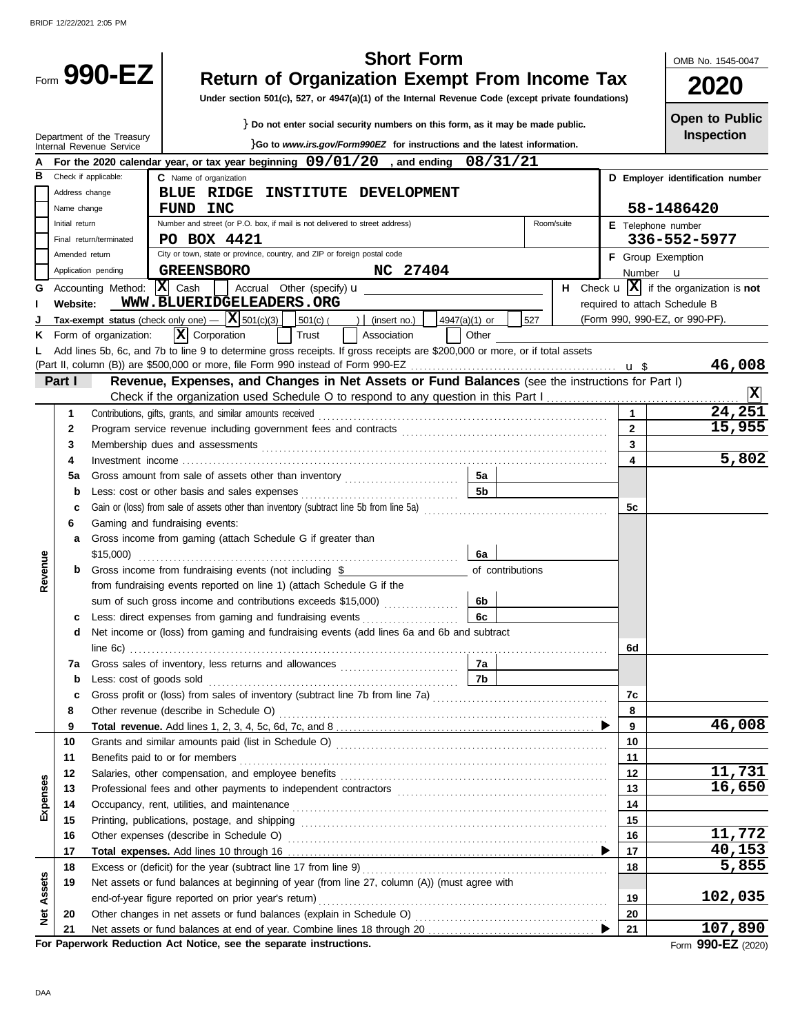|          |                |                                                        | <b>Short Form</b>                                                                                                                                          |                 | OMB No. 1545-0047                                              |  |  |
|----------|----------------|--------------------------------------------------------|------------------------------------------------------------------------------------------------------------------------------------------------------------|-----------------|----------------------------------------------------------------|--|--|
|          |                | Form 990-EZ                                            | <b>Return of Organization Exempt From Income Tax</b><br>Under section 501(c), 527, or 4947(a)(1) of the Internal Revenue Code (except private foundations) |                 | 2020                                                           |  |  |
|          |                |                                                        | } Do not enter social security numbers on this form, as it may be made public.                                                                             |                 | <b>Open to Public</b>                                          |  |  |
|          |                | Department of the Treasury<br>Internal Revenue Service | }Go to www.irs.gov/Form990EZ for instructions and the latest information.                                                                                  |                 | Inspection                                                     |  |  |
|          |                |                                                        | For the 2020 calendar year, or tax year beginning $09/01/20$ , and ending<br>08/31/21                                                                      |                 |                                                                |  |  |
| в        |                | Check if applicable:                                   | C Name of organization                                                                                                                                     |                 | D Employer identification number                               |  |  |
|          | Address change |                                                        | <b>BLUE RIDGE</b><br>INSTITUTE DEVELOPMENT                                                                                                                 |                 |                                                                |  |  |
|          | Name change    |                                                        | FUND INC                                                                                                                                                   |                 | 58-1486420                                                     |  |  |
|          | Initial return |                                                        | Number and street (or P.O. box, if mail is not delivered to street address)<br>Room/suite                                                                  |                 | <b>E</b> Telephone number                                      |  |  |
|          |                | Final return/terminated                                | PO BOX 4421                                                                                                                                                |                 | 336-552-5977                                                   |  |  |
|          | Amended return | Application pending                                    | City or town, state or province, country, and ZIP or foreign postal code                                                                                   |                 | <b>F</b> Group Exemption                                       |  |  |
|          |                |                                                        | NC 27404<br><b>GREENSBORO</b><br> X <br>Cash                                                                                                               | Number <b>u</b> | H Check $\mathbf{u}$ $ \mathbf{X} $ if the organization is not |  |  |
| G        | Website:       | Accounting Method:                                     | Accrual Other (specify) <b>u</b><br>WWW.BLUERIDGELEADERS.ORG                                                                                               |                 | required to attach Schedule B                                  |  |  |
|          |                |                                                        | Tax-exempt status (check only one) $-$  X  501(c)(3)  <br>527<br>$ 501(c) ( ) $ (insert no.)<br>4947(a)(1) or                                              |                 | (Form 990, 990-EZ, or 990-PF).                                 |  |  |
| ĸ        |                | Form of organization:                                  | $ \mathbf{X} $ Corporation<br>Trust<br>Association<br>Other                                                                                                |                 |                                                                |  |  |
|          |                |                                                        | Add lines 5b, 6c, and 7b to line 9 to determine gross receipts. If gross receipts are \$200,000 or more, or if total assets                                |                 |                                                                |  |  |
|          |                |                                                        |                                                                                                                                                            |                 | 46,008                                                         |  |  |
|          | Part I         |                                                        | Revenue, Expenses, and Changes in Net Assets or Fund Balances (see the instructions for Part I)                                                            |                 |                                                                |  |  |
|          |                |                                                        |                                                                                                                                                            |                 | X                                                              |  |  |
|          | 1              |                                                        | Contributions, gifts, grants, and similar amounts received                                                                                                 | $\mathbf{1}$    | 24,251                                                         |  |  |
|          | 2              |                                                        |                                                                                                                                                            | $\overline{2}$  | 15,955                                                         |  |  |
|          | 3              |                                                        |                                                                                                                                                            | $\overline{3}$  |                                                                |  |  |
|          | 4              |                                                        |                                                                                                                                                            | 4               | 5,802                                                          |  |  |
|          | 5a             |                                                        | 5а                                                                                                                                                         |                 |                                                                |  |  |
|          | b              |                                                        | <b>5b</b>                                                                                                                                                  |                 |                                                                |  |  |
|          | с              |                                                        |                                                                                                                                                            | 5c              |                                                                |  |  |
|          | 6              |                                                        | Gaming and fundraising events:                                                                                                                             |                 |                                                                |  |  |
|          | a              |                                                        | Gross income from gaming (attach Schedule G if greater than<br>6а                                                                                          |                 |                                                                |  |  |
| Revenue  | b              |                                                        | Gross income from fundraising events (not including \$<br>of contributions                                                                                 |                 |                                                                |  |  |
|          |                |                                                        | from fundraising events reported on line 1) (attach Schedule G if the                                                                                      |                 |                                                                |  |  |
|          |                |                                                        | sum of such gross income and contributions exceeds \$15,000)<br>6b                                                                                         |                 |                                                                |  |  |
|          |                |                                                        | 6c<br>Less: direct expenses from gaming and fundraising events                                                                                             |                 |                                                                |  |  |
|          | d              |                                                        | Net income or (loss) from gaming and fundraising events (add lines 6a and 6b and subtract                                                                  |                 |                                                                |  |  |
|          |                |                                                        |                                                                                                                                                            | 6d              |                                                                |  |  |
|          | 7a             |                                                        | 7a                                                                                                                                                         |                 |                                                                |  |  |
|          | b              |                                                        | 7b<br>Less: cost of goods sold with a control of the state of goods sold                                                                                   |                 |                                                                |  |  |
|          | с              |                                                        | Gross profit or (loss) from sales of inventory (subtract line 7b from line 7a) [[[[[[[[[[[[[[[[[[[[[[[[[[[[[[[                                             | 7c              |                                                                |  |  |
|          | 8              |                                                        |                                                                                                                                                            | 8               |                                                                |  |  |
|          | 9              |                                                        |                                                                                                                                                            | 9               | 46,008                                                         |  |  |
|          | 10             |                                                        |                                                                                                                                                            | 10              |                                                                |  |  |
|          | 11<br>12       |                                                        |                                                                                                                                                            | 11<br>12        | <u>11,731</u>                                                  |  |  |
|          | 13             |                                                        |                                                                                                                                                            | 13              | 16,650                                                         |  |  |
| Expenses | 14             |                                                        |                                                                                                                                                            | 14              |                                                                |  |  |
|          | 15             |                                                        |                                                                                                                                                            | 15              |                                                                |  |  |
|          | 16             |                                                        |                                                                                                                                                            | 16              | 11,772                                                         |  |  |
|          | 17             |                                                        |                                                                                                                                                            | 17              | 40,153                                                         |  |  |
|          | 18             |                                                        |                                                                                                                                                            | 18              | 5,855                                                          |  |  |
| Assets   | 19             |                                                        | Net assets or fund balances at beginning of year (from line 27, column (A)) (must agree with                                                               |                 |                                                                |  |  |
|          |                |                                                        | end-of-year figure reported on prior year's return)                                                                                                        | 19              | 102,035                                                        |  |  |
| ğ        | 20             |                                                        |                                                                                                                                                            | 20              |                                                                |  |  |
|          | 21             |                                                        |                                                                                                                                                            | 21              | 107,890                                                        |  |  |
|          |                |                                                        | For Paperwork Reduction Act Notice, see the separate instructions.                                                                                         |                 | Form 990-EZ (2020)                                             |  |  |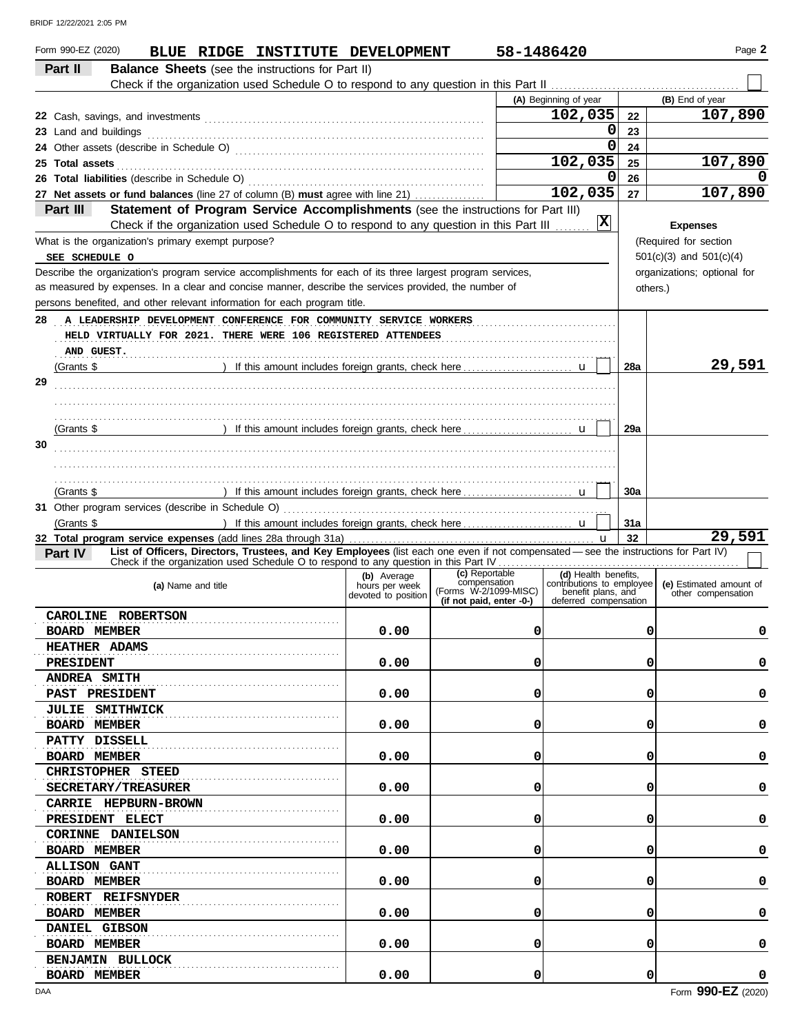| Form 990-EZ (2020)<br>BLUE RIDGE INSTITUTE DEVELOPMENT                                                                                                                                                                                                                                      |                               | 58-1486420                                        |                                                   |          | Page 2                      |
|---------------------------------------------------------------------------------------------------------------------------------------------------------------------------------------------------------------------------------------------------------------------------------------------|-------------------------------|---------------------------------------------------|---------------------------------------------------|----------|-----------------------------|
| Part II<br><b>Balance Sheets</b> (see the instructions for Part II)                                                                                                                                                                                                                         |                               |                                                   |                                                   |          |                             |
|                                                                                                                                                                                                                                                                                             |                               |                                                   |                                                   |          |                             |
|                                                                                                                                                                                                                                                                                             |                               |                                                   | (A) Beginning of year                             |          | (B) End of year             |
|                                                                                                                                                                                                                                                                                             |                               |                                                   | 102,035                                           | 22       | 107,890                     |
| 23 Land and buildings <i>machines and contained and buildings</i>                                                                                                                                                                                                                           |                               |                                                   | 0                                                 | 23       |                             |
|                                                                                                                                                                                                                                                                                             |                               |                                                   | 0                                                 | 24       |                             |
| 25 Total assets <b>25 Total</b> assets <b>25 Total</b> assets <b>25 Total</b> assets <b>25 Total</b> assets <b>25 Total</b> assets <b>25 Total</b> assets <b>25 Total</b> assets <b>26 Total</b> assets <b>26 Total</b> assets <b>26 Total</b> assets <b>26 Total</b> assets <b>26 Tota</b> |                               |                                                   | 102,035                                           | 25       | 107,890                     |
|                                                                                                                                                                                                                                                                                             |                               |                                                   | 0                                                 | 26       |                             |
| 27 Net assets or fund balances (line 27 of column (B) must agree with line 21)                                                                                                                                                                                                              |                               |                                                   | 102,035                                           | 27       | 107,890                     |
| Statement of Program Service Accomplishments (see the instructions for Part III)<br>Part III                                                                                                                                                                                                |                               |                                                   |                                                   |          |                             |
| Check if the organization used Schedule O to respond to any question in this Part III                                                                                                                                                                                                       |                               |                                                   | x                                                 |          | <b>Expenses</b>             |
| What is the organization's primary exempt purpose?                                                                                                                                                                                                                                          |                               |                                                   |                                                   |          | (Required for section       |
| SEE SCHEDULE O                                                                                                                                                                                                                                                                              |                               |                                                   |                                                   |          | $501(c)(3)$ and $501(c)(4)$ |
| Describe the organization's program service accomplishments for each of its three largest program services,                                                                                                                                                                                 |                               |                                                   |                                                   |          | organizations; optional for |
| as measured by expenses. In a clear and concise manner, describe the services provided, the number of                                                                                                                                                                                       |                               |                                                   |                                                   | others.) |                             |
| persons benefited, and other relevant information for each program title.                                                                                                                                                                                                                   |                               |                                                   |                                                   |          |                             |
| 28 A LEADERSHIP DEVELOPMENT CONFERENCE FOR COMMUNITY SERVICE WORKERS                                                                                                                                                                                                                        |                               |                                                   |                                                   |          |                             |
| HELD VIRTUALLY FOR 2021. THERE WERE 106 REGISTERED ATTENDEES                                                                                                                                                                                                                                |                               |                                                   |                                                   |          |                             |
| AND GUEST.                                                                                                                                                                                                                                                                                  |                               |                                                   |                                                   |          |                             |
|                                                                                                                                                                                                                                                                                             |                               |                                                   |                                                   | 28a      | 29,591                      |
| 29                                                                                                                                                                                                                                                                                          |                               |                                                   |                                                   |          |                             |
|                                                                                                                                                                                                                                                                                             |                               |                                                   |                                                   |          |                             |
|                                                                                                                                                                                                                                                                                             |                               |                                                   |                                                   |          |                             |
| (Grants \$                                                                                                                                                                                                                                                                                  |                               |                                                   |                                                   | 29a      |                             |
| 30                                                                                                                                                                                                                                                                                          |                               |                                                   |                                                   |          |                             |
|                                                                                                                                                                                                                                                                                             |                               |                                                   |                                                   |          |                             |
| (Grants \$                                                                                                                                                                                                                                                                                  |                               |                                                   |                                                   | 30a      |                             |
|                                                                                                                                                                                                                                                                                             |                               |                                                   |                                                   |          |                             |
| (Grants \$                                                                                                                                                                                                                                                                                  |                               |                                                   |                                                   | 31a      |                             |
|                                                                                                                                                                                                                                                                                             |                               |                                                   |                                                   | 32       | 29,591                      |
| List of Officers, Directors, Trustees, and Key Employees (list each one even if not compensated - see the instructions for Part IV)<br>Part IV                                                                                                                                              |                               |                                                   |                                                   |          |                             |
|                                                                                                                                                                                                                                                                                             |                               | (c) Reportable                                    |                                                   |          |                             |
| (a) Name and title                                                                                                                                                                                                                                                                          | (b) Average<br>hours per week | compensation                                      | (d) Health benefits,<br>contributions to employee |          | (e) Estimated amount of     |
|                                                                                                                                                                                                                                                                                             | devoted to position           | (Forms W-2/1099-MISC)<br>(if not paid, enter -0-) | benefit plans, and<br>deferred compensation       |          | other compensation          |
| CAROLINE ROBERTSON                                                                                                                                                                                                                                                                          |                               |                                                   |                                                   |          |                             |
| <b>BOARD MEMBER</b>                                                                                                                                                                                                                                                                         | 0.00                          | 0                                                 |                                                   | 0        | 0                           |
| <b>HEATHER ADAMS</b>                                                                                                                                                                                                                                                                        |                               |                                                   |                                                   |          |                             |
| <b>PRESIDENT</b>                                                                                                                                                                                                                                                                            | 0.00                          | 0                                                 |                                                   | 0        | 0                           |
| <b>ANDREA SMITH</b>                                                                                                                                                                                                                                                                         |                               |                                                   |                                                   |          |                             |
| <b>PAST PRESIDENT</b>                                                                                                                                                                                                                                                                       | 0.00                          | 0                                                 |                                                   | 0        | 0                           |
| JULIE SMITHWICK                                                                                                                                                                                                                                                                             |                               |                                                   |                                                   |          |                             |
| <b>BOARD MEMBER</b>                                                                                                                                                                                                                                                                         | 0.00                          | 0                                                 |                                                   | 0        | 0                           |
| PATTY DISSELL                                                                                                                                                                                                                                                                               |                               |                                                   |                                                   |          |                             |
| <b>BOARD MEMBER</b>                                                                                                                                                                                                                                                                         | 0.00                          | 0                                                 |                                                   | 0        | 0                           |
| CHRISTOPHER STEED                                                                                                                                                                                                                                                                           |                               |                                                   |                                                   |          |                             |
| <b>SECRETARY/TREASURER</b>                                                                                                                                                                                                                                                                  | 0.00                          | 0                                                 |                                                   | 0        | 0                           |
| CARRIE HEPBURN-BROWN                                                                                                                                                                                                                                                                        |                               |                                                   |                                                   |          |                             |
| PRESIDENT ELECT                                                                                                                                                                                                                                                                             | 0.00                          | 0                                                 |                                                   | 0        | 0                           |
| <b>CORINNE DANIELSON</b>                                                                                                                                                                                                                                                                    |                               |                                                   |                                                   |          |                             |
| <b>BOARD MEMBER</b>                                                                                                                                                                                                                                                                         | 0.00                          | 0                                                 |                                                   | 0        | 0                           |
| <b>ALLISON GANT</b>                                                                                                                                                                                                                                                                         |                               |                                                   |                                                   |          |                             |
| <b>BOARD MEMBER</b>                                                                                                                                                                                                                                                                         | 0.00                          | 0                                                 |                                                   | 0        | 0                           |
| ROBERT REIFSNYDER                                                                                                                                                                                                                                                                           |                               |                                                   |                                                   |          |                             |
| <b>BOARD MEMBER</b>                                                                                                                                                                                                                                                                         | 0.00                          | 0                                                 |                                                   | 0        | 0                           |
| DANIEL GIBSON                                                                                                                                                                                                                                                                               |                               |                                                   |                                                   |          |                             |
| <b>BOARD MEMBER</b>                                                                                                                                                                                                                                                                         | 0.00                          | 0                                                 |                                                   | 0        | 0                           |
| <b>BENJAMIN BULLOCK</b>                                                                                                                                                                                                                                                                     |                               |                                                   |                                                   |          |                             |
| <b>BOARD MEMBER</b>                                                                                                                                                                                                                                                                         | 0.00                          | 0                                                 |                                                   | 0        | 0                           |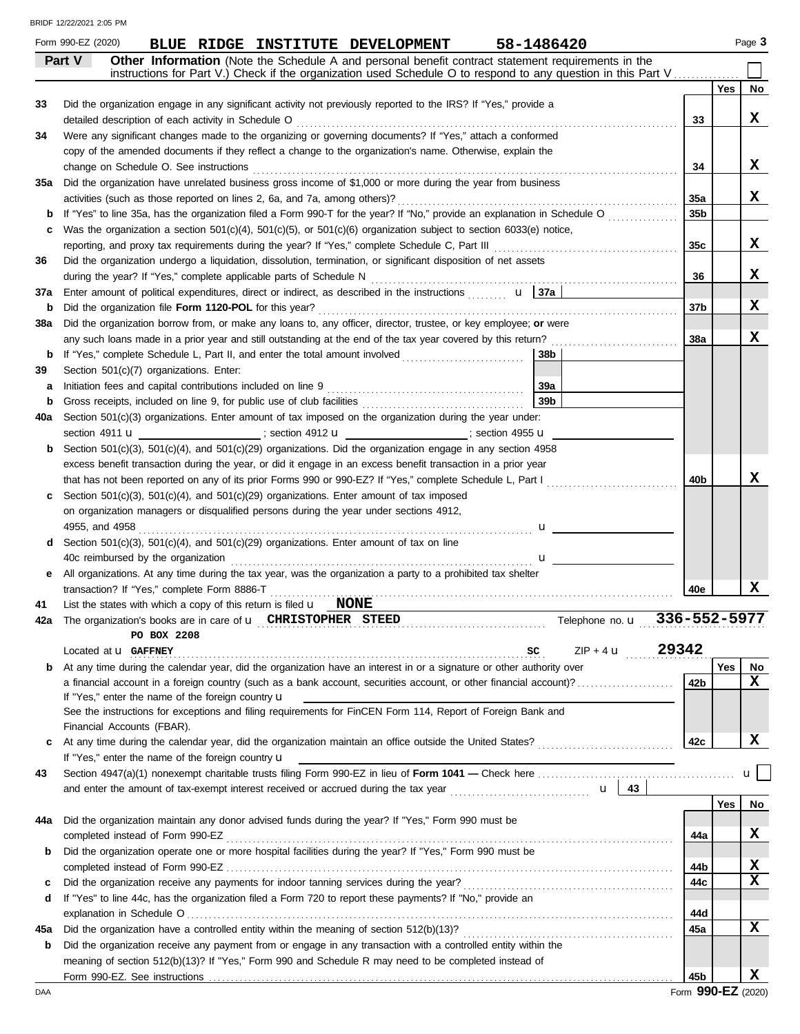|     | Form 990-EZ (2020)<br>58-1486420<br>BLUE RIDGE INSTITUTE DEVELOPMENT                                                                                                                                                          |       |            | Page 3       |
|-----|-------------------------------------------------------------------------------------------------------------------------------------------------------------------------------------------------------------------------------|-------|------------|--------------|
|     | Part V<br>Other Information (Note the Schedule A and personal benefit contract statement requirements in the                                                                                                                  |       |            |              |
|     | instructions for Part V.) Check if the organization used Schedule O to respond to any question in this Part V                                                                                                                 |       |            |              |
|     |                                                                                                                                                                                                                               |       | <b>Yes</b> | No           |
| 33  | Did the organization engage in any significant activity not previously reported to the IRS? If "Yes," provide a                                                                                                               |       |            | x            |
| 34  | detailed description of each activity in Schedule O Mathematic and Construction of the Schedule of the Schedule D<br>Were any significant changes made to the organizing or governing documents? If "Yes," attach a conformed | 33    |            |              |
|     | copy of the amended documents if they reflect a change to the organization's name. Otherwise, explain the                                                                                                                     |       |            |              |
|     |                                                                                                                                                                                                                               | 34    |            | x            |
| 35a | Did the organization have unrelated business gross income of \$1,000 or more during the year from business                                                                                                                    |       |            |              |
|     |                                                                                                                                                                                                                               | 35a   |            | X            |
|     | If "Yes" to line 35a, has the organization filed a Form 990-T for the year? If "No," provide an explanation in Schedule O                                                                                                     | 35b   |            |              |
| c   | Was the organization a section $501(c)(4)$ , $501(c)(5)$ , or $501(c)(6)$ organization subject to section 6033(e) notice,                                                                                                     |       |            |              |
|     | reporting, and proxy tax requirements during the year? If "Yes," complete Schedule C, Part III [[[[[[[[[[[[[[                                                                                                                 | 35c   |            | x            |
| 36  | Did the organization undergo a liquidation, dissolution, termination, or significant disposition of net assets                                                                                                                |       |            |              |
|     |                                                                                                                                                                                                                               | 36    |            | x            |
| 37a | Enter amount of political expenditures, direct or indirect, as described in the instructions $\mathbf{u}$ $\mathbf{a}$ $\mathbf{a}$                                                                                           |       |            |              |
| b   | Did the organization file Form 1120-POL for this year?                                                                                                                                                                        | 37b   |            | x            |
| 38a | Did the organization borrow from, or make any loans to, any officer, director, trustee, or key employee; or were                                                                                                              |       |            |              |
|     | any such loans made in a prior year and still outstanding at the end of the tax year covered by this return?                                                                                                                  | 38a   |            | x            |
| b   | If "Yes," complete Schedule L, Part II, and enter the total amount involved<br>  38b                                                                                                                                          |       |            |              |
| 39  | Section 501(c)(7) organizations. Enter:                                                                                                                                                                                       |       |            |              |
| а   | 39a<br>Initiation fees and capital contributions included on line 9                                                                                                                                                           |       |            |              |
| b   | 39 <sub>b</sub>                                                                                                                                                                                                               |       |            |              |
| 40a | Section 501(c)(3) organizations. Enter amount of tax imposed on the organization during the year under:                                                                                                                       |       |            |              |
|     | section 4911 <b>u</b> __________________; section 4912 <b>u</b> ________________; section 4955 <b>u</b>                                                                                                                       |       |            |              |
| b   | Section 501(c)(3), 501(c)(4), and 501(c)(29) organizations. Did the organization engage in any section 4958                                                                                                                   |       |            |              |
|     | excess benefit transaction during the year, or did it engage in an excess benefit transaction in a prior year                                                                                                                 |       |            |              |
|     | that has not been reported on any of its prior Forms 990 or 990-EZ? If "Yes," complete Schedule L, Part I                                                                                                                     | 40b   |            | x            |
| c   | Section $501(c)(3)$ , $501(c)(4)$ , and $501(c)(29)$ organizations. Enter amount of tax imposed                                                                                                                               |       |            |              |
|     | on organization managers or disqualified persons during the year under sections 4912,                                                                                                                                         |       |            |              |
|     | 4955, and 4958<br>$\mathbf{u}$ and $\mathbf{u}$ and $\mathbf{u}$ and $\mathbf{u}$                                                                                                                                             |       |            |              |
| d   | Section 501(c)(3), 501(c)(4), and 501(c)(29) organizations. Enter amount of tax on line                                                                                                                                       |       |            |              |
|     | 40c reimbursed by the organization                                                                                                                                                                                            |       |            |              |
| е   | All organizations. At any time during the tax year, was the organization a party to a prohibited tax shelter                                                                                                                  | 40e   |            | x            |
| 41  | transaction? If "Yes," complete Form 8886-T<br>List the states with which a copy of this return is filed $\mathbf{u}$ <b>NONE</b>                                                                                             |       |            |              |
| 42a | The organization's books are in care of <b>u</b> CHRISTOPHER STEED The organization's books are in care of <b>u</b> CHRISTOPHER STEED The organization's books are in care of <b>u</b>                                        |       |            |              |
|     | PO BOX 2208                                                                                                                                                                                                                   |       |            |              |
|     | $ZIP + 4$ <b>u</b><br>Located at <b>u</b> GAFFNEY<br>SC                                                                                                                                                                       | 29342 |            |              |
| b   | At any time during the calendar year, did the organization have an interest in or a signature or other authority over                                                                                                         |       | Yes        | No           |
|     | a financial account in a foreign country (such as a bank account, securities account, or other financial account)?                                                                                                            | 42b   |            | x            |
|     | If "Yes," enter the name of the foreign country $\mathbf u$                                                                                                                                                                   |       |            |              |
|     | See the instructions for exceptions and filing requirements for FinCEN Form 114, Report of Foreign Bank and                                                                                                                   |       |            |              |
|     | Financial Accounts (FBAR).                                                                                                                                                                                                    |       |            |              |
| c   |                                                                                                                                                                                                                               | 42c   |            | X            |
|     | If "Yes," enter the name of the foreign country u                                                                                                                                                                             |       |            |              |
| 43  |                                                                                                                                                                                                                               |       |            | $\mathbf{u}$ |
|     | $\mathbf{u}$   43                                                                                                                                                                                                             |       |            |              |
|     |                                                                                                                                                                                                                               |       | Yes        | No           |
| 44a | Did the organization maintain any donor advised funds during the year? If "Yes," Form 990 must be                                                                                                                             |       |            |              |
|     |                                                                                                                                                                                                                               | 44a   |            | x            |
| b   | Did the organization operate one or more hospital facilities during the year? If "Yes," Form 990 must be                                                                                                                      |       |            |              |
|     |                                                                                                                                                                                                                               | 44b   |            | X            |
| c   |                                                                                                                                                                                                                               | 44c   |            | x            |
| d   | If "Yes" to line 44c, has the organization filed a Form 720 to report these payments? If "No," provide an                                                                                                                     |       |            |              |
|     |                                                                                                                                                                                                                               | 44d   |            | x            |
| 45a | Did the organization have a controlled entity within the meaning of section 512(b)(13)?                                                                                                                                       | 45a   |            |              |
| b   | Did the organization receive any payment from or engage in any transaction with a controlled entity within the<br>meaning of section 512(b)(13)? If "Yes," Form 990 and Schedule R may need to be completed instead of        |       |            |              |
|     |                                                                                                                                                                                                                               | 45b   |            | x            |
|     |                                                                                                                                                                                                                               |       |            |              |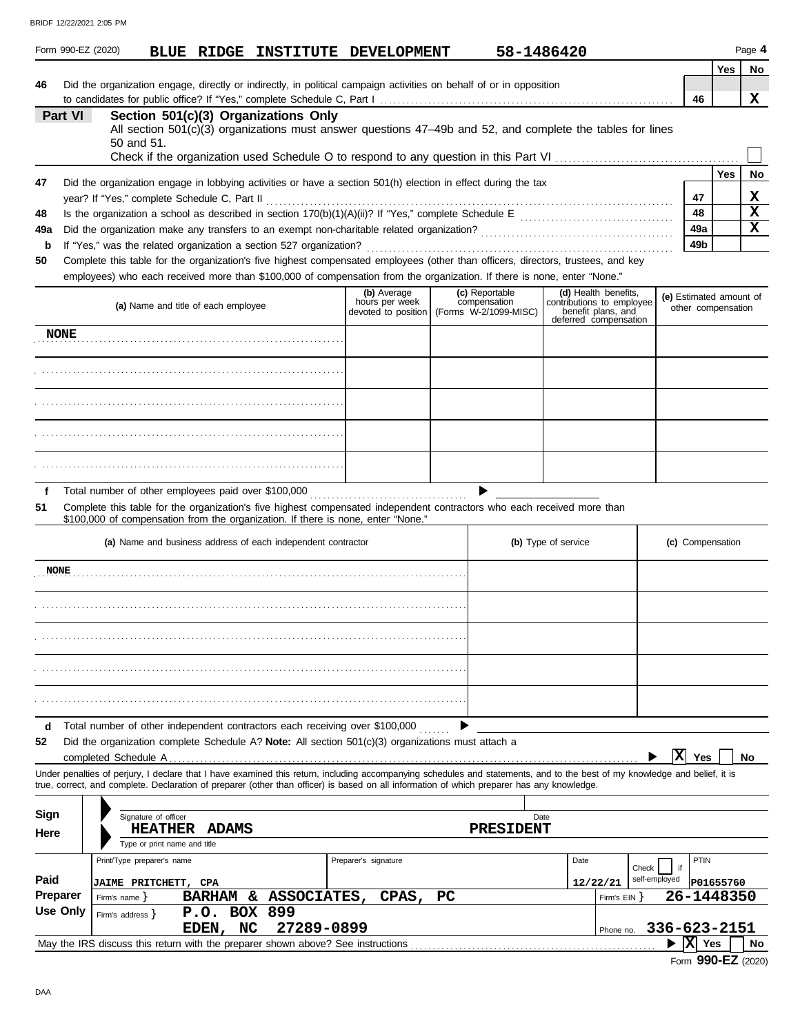|                    |                 | Form 990-EZ (2020)                                  |                              |                                     |                                                                    | BLUE RIDGE INSTITUTE DEVELOPMENT                                                                                                                                                                                                                                                                                         |    |                                | 58-1486420          |                                                                                                  |                     |                 |                                               | Page 4                     |
|--------------------|-----------------|-----------------------------------------------------|------------------------------|-------------------------------------|--------------------------------------------------------------------|--------------------------------------------------------------------------------------------------------------------------------------------------------------------------------------------------------------------------------------------------------------------------------------------------------------------------|----|--------------------------------|---------------------|--------------------------------------------------------------------------------------------------|---------------------|-----------------|-----------------------------------------------|----------------------------|
|                    |                 |                                                     |                              |                                     |                                                                    |                                                                                                                                                                                                                                                                                                                          |    |                                |                     |                                                                                                  |                     |                 | Yes                                           | No                         |
| 46                 |                 |                                                     |                              |                                     |                                                                    | Did the organization engage, directly or indirectly, in political campaign activities on behalf of or in opposition                                                                                                                                                                                                      |    |                                |                     |                                                                                                  |                     | 46              |                                               | x                          |
|                    | Part VI         | 50 and 51.                                          |                              |                                     | Section 501(c)(3) Organizations Only                               | All section 501(c)(3) organizations must answer questions 47-49b and 52, and complete the tables for lines                                                                                                                                                                                                               |    |                                |                     |                                                                                                  |                     |                 |                                               |                            |
|                    |                 |                                                     |                              |                                     |                                                                    |                                                                                                                                                                                                                                                                                                                          |    |                                |                     |                                                                                                  |                     |                 | Yes                                           | No                         |
| 47                 |                 | year? If "Yes," complete Schedule C, Part II        |                              |                                     |                                                                    | Did the organization engage in lobbying activities or have a section 501(h) election in effect during the tax                                                                                                                                                                                                            |    |                                |                     |                                                                                                  |                     | 47              |                                               | x                          |
| 48                 |                 |                                                     |                              |                                     |                                                                    |                                                                                                                                                                                                                                                                                                                          |    |                                |                     |                                                                                                  |                     | 48<br>49a       |                                               | $\mathbf x$<br>$\mathbf x$ |
| 49a<br>$\mathbf b$ |                 |                                                     |                              |                                     | If "Yes," was the related organization a section 527 organization? |                                                                                                                                                                                                                                                                                                                          |    |                                |                     |                                                                                                  |                     | 49 <sub>b</sub> |                                               |                            |
| 50                 |                 |                                                     |                              |                                     |                                                                    | Complete this table for the organization's five highest compensated employees (other than officers, directors, trustees, and key                                                                                                                                                                                         |    |                                |                     |                                                                                                  |                     |                 |                                               |                            |
|                    |                 |                                                     |                              |                                     |                                                                    | employees) who each received more than \$100,000 of compensation from the organization. If there is none, enter "None."                                                                                                                                                                                                  |    |                                |                     |                                                                                                  |                     |                 |                                               |                            |
|                    |                 |                                                     |                              | (a) Name and title of each employee |                                                                    | (b) Average<br>hours per week<br>devoted to position   (Forms W-2/1099-MISC)                                                                                                                                                                                                                                             |    | (c) Reportable<br>compensation |                     | (d) Health benefits,<br>contributions to employee<br>benefit plans, and<br>deferred compensation |                     |                 | (e) Estimated amount of<br>other compensation |                            |
|                    | <b>NONE</b>     |                                                     |                              |                                     |                                                                    |                                                                                                                                                                                                                                                                                                                          |    |                                |                     |                                                                                                  |                     |                 |                                               |                            |
|                    |                 |                                                     |                              |                                     |                                                                    |                                                                                                                                                                                                                                                                                                                          |    |                                |                     |                                                                                                  |                     |                 |                                               |                            |
|                    |                 |                                                     |                              |                                     |                                                                    |                                                                                                                                                                                                                                                                                                                          |    |                                |                     |                                                                                                  |                     |                 |                                               |                            |
|                    |                 |                                                     |                              |                                     |                                                                    |                                                                                                                                                                                                                                                                                                                          |    |                                |                     |                                                                                                  |                     |                 |                                               |                            |
|                    |                 |                                                     |                              |                                     |                                                                    |                                                                                                                                                                                                                                                                                                                          |    |                                |                     |                                                                                                  |                     |                 |                                               |                            |
| f<br>51            |                 | Total number of other employees paid over \$100,000 |                              |                                     |                                                                    | Complete this table for the organization's five highest compensated independent contractors who each received more than<br>\$100,000 of compensation from the organization. If there is none, enter "None."                                                                                                              |    |                                |                     |                                                                                                  |                     |                 |                                               |                            |
|                    |                 |                                                     |                              |                                     | (a) Name and business address of each independent contractor       |                                                                                                                                                                                                                                                                                                                          |    |                                | (b) Type of service |                                                                                                  |                     |                 | (c) Compensation                              |                            |
|                    | <b>NONE</b>     |                                                     |                              |                                     |                                                                    |                                                                                                                                                                                                                                                                                                                          |    |                                |                     |                                                                                                  |                     |                 |                                               |                            |
|                    |                 |                                                     |                              |                                     |                                                                    |                                                                                                                                                                                                                                                                                                                          |    |                                |                     |                                                                                                  |                     |                 |                                               |                            |
|                    |                 |                                                     |                              |                                     |                                                                    |                                                                                                                                                                                                                                                                                                                          |    |                                |                     |                                                                                                  |                     |                 |                                               |                            |
|                    |                 |                                                     |                              |                                     |                                                                    |                                                                                                                                                                                                                                                                                                                          |    |                                |                     |                                                                                                  |                     |                 |                                               |                            |
|                    |                 |                                                     |                              |                                     |                                                                    |                                                                                                                                                                                                                                                                                                                          |    |                                |                     |                                                                                                  |                     |                 |                                               |                            |
| d<br>52            |                 |                                                     |                              |                                     |                                                                    | Total number of other independent contractors each receiving over \$100,000<br>Did the organization complete Schedule A? Note: All section $501(c)(3)$ organizations must attach a                                                                                                                                       |    |                                |                     |                                                                                                  | Ixl                 | Yes             |                                               | No                         |
|                    |                 | completed Schedule A                                |                              |                                     |                                                                    | Under penalties of perjury, I declare that I have examined this return, including accompanying schedules and statements, and to the best of my knowledge and belief, it is<br>true, correct, and complete. Declaration of preparer (other than officer) is based on all information of which preparer has any knowledge. |    |                                |                     |                                                                                                  |                     |                 |                                               |                            |
|                    |                 |                                                     |                              |                                     |                                                                    |                                                                                                                                                                                                                                                                                                                          |    |                                |                     |                                                                                                  |                     |                 |                                               |                            |
| Sign               |                 | Signature of officer                                | <b>HEATHER</b>               | <b>ADAMS</b>                        |                                                                    |                                                                                                                                                                                                                                                                                                                          |    | <b>PRESIDENT</b>               | Date                |                                                                                                  |                     |                 |                                               |                            |
| Here               |                 |                                                     | Type or print name and title |                                     |                                                                    |                                                                                                                                                                                                                                                                                                                          |    |                                |                     |                                                                                                  |                     |                 |                                               |                            |
| Paid               |                 | Print/Type preparer's name                          |                              |                                     |                                                                    | Preparer's signature                                                                                                                                                                                                                                                                                                     |    |                                | Date                | Check                                                                                            | if<br>self-employed | PTIN            |                                               |                            |
|                    | <b>Preparer</b> | JAIME PRITCHETT, CPA<br>Firm's name $\}$            |                              | BARHAM &                            | <b>ASSOCIATES,</b>                                                 | CPAS,                                                                                                                                                                                                                                                                                                                    | PC |                                |                     | 12/22/21<br>Firm's $EIN$ }                                                                       |                     |                 | P01655760<br>26-1448350                       |                            |
|                    | <b>Use Only</b> | Firm's address $\}$                                 |                              | P.O. BOX 899<br>EDEN, NC            | 27289-0899                                                         |                                                                                                                                                                                                                                                                                                                          |    |                                |                     | Phone no.                                                                                        |                     |                 | 336-623-2151                                  |                            |
|                    |                 |                                                     |                              |                                     |                                                                    |                                                                                                                                                                                                                                                                                                                          |    |                                |                     |                                                                                                  |                     | $ X $ Yes       |                                               | No.                        |

|  | Form 990-EZ (2020) |  |
|--|--------------------|--|
|--|--------------------|--|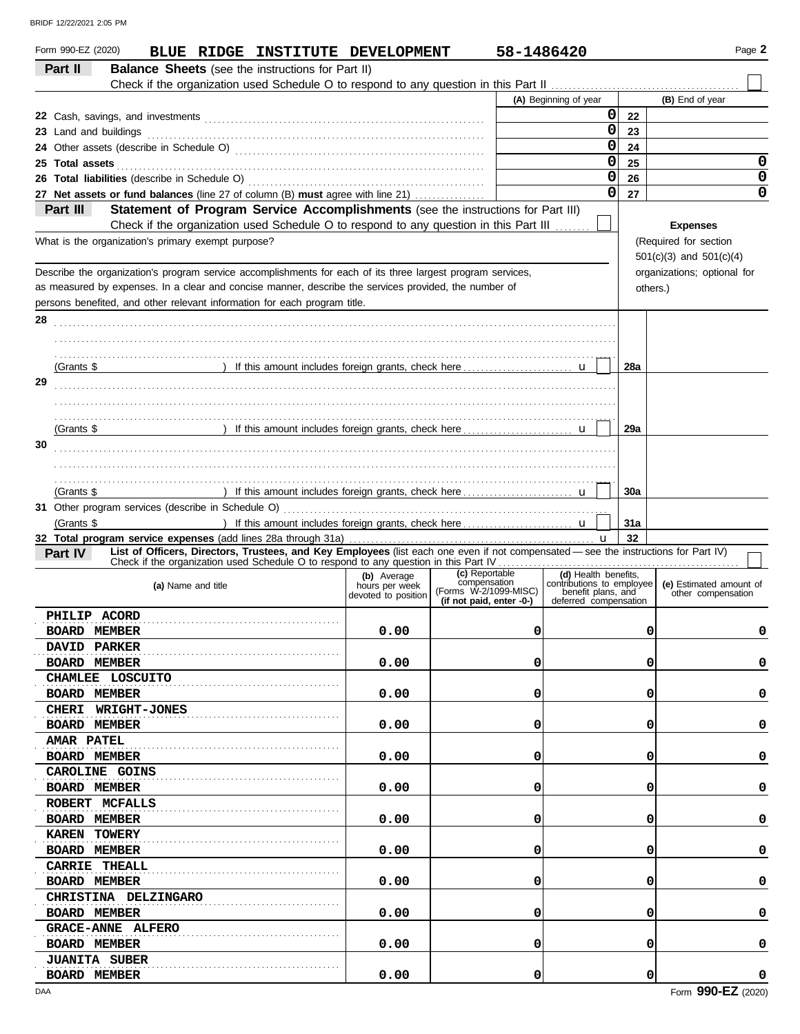| Form 990-EZ (2020)<br>BLUE RIDGE INSTITUTE DEVELOPMENT<br>Part II<br><b>Balance Sheets</b> (see the instructions for Part II)                         |                                       | 58-1486420                            |                                                   |          | Page 2                                        |
|-------------------------------------------------------------------------------------------------------------------------------------------------------|---------------------------------------|---------------------------------------|---------------------------------------------------|----------|-----------------------------------------------|
|                                                                                                                                                       |                                       |                                       |                                                   |          |                                               |
|                                                                                                                                                       |                                       |                                       | (A) Beginning of year                             |          | (B) End of year                               |
|                                                                                                                                                       |                                       |                                       | $\mathbf{0}$                                      | 22       |                                               |
|                                                                                                                                                       |                                       |                                       | 0                                                 | 23       |                                               |
|                                                                                                                                                       |                                       |                                       | 0                                                 | 24       |                                               |
| 25 Total assets                                                                                                                                       |                                       |                                       | 0                                                 | 25       | 0                                             |
|                                                                                                                                                       |                                       |                                       | 0                                                 | 26       | 0                                             |
| 27 Net assets or fund balances (line 27 of column (B) must agree with line 21)                                                                        |                                       |                                       | 0                                                 | 27       | $\mathbf 0$                                   |
| Statement of Program Service Accomplishments (see the instructions for Part III)<br>Part III                                                          |                                       |                                       |                                                   |          |                                               |
| Check if the organization used Schedule O to respond to any question in this Part III                                                                 |                                       |                                       |                                                   |          | <b>Expenses</b>                               |
| What is the organization's primary exempt purpose?                                                                                                    |                                       |                                       |                                                   |          | (Required for section                         |
|                                                                                                                                                       |                                       |                                       |                                                   |          | $501(c)(3)$ and $501(c)(4)$                   |
| Describe the organization's program service accomplishments for each of its three largest program services,                                           |                                       |                                       |                                                   |          | organizations; optional for                   |
| as measured by expenses. In a clear and concise manner, describe the services provided, the number of                                                 |                                       |                                       |                                                   | others.) |                                               |
| persons benefited, and other relevant information for each program title.                                                                             |                                       |                                       |                                                   |          |                                               |
| 28                                                                                                                                                    |                                       |                                       |                                                   |          |                                               |
|                                                                                                                                                       |                                       |                                       |                                                   |          |                                               |
|                                                                                                                                                       |                                       |                                       |                                                   |          |                                               |
|                                                                                                                                                       |                                       |                                       |                                                   |          |                                               |
| (Grants $$$                                                                                                                                           |                                       |                                       |                                                   | 28a      |                                               |
| 29                                                                                                                                                    |                                       |                                       |                                                   |          |                                               |
|                                                                                                                                                       |                                       |                                       |                                                   |          |                                               |
|                                                                                                                                                       |                                       |                                       |                                                   |          |                                               |
| (Grants \$                                                                                                                                            |                                       |                                       |                                                   | 29a      |                                               |
| 30                                                                                                                                                    |                                       |                                       |                                                   |          |                                               |
|                                                                                                                                                       |                                       |                                       |                                                   |          |                                               |
|                                                                                                                                                       |                                       |                                       |                                                   |          |                                               |
|                                                                                                                                                       |                                       |                                       |                                                   |          |                                               |
| (Grants \$                                                                                                                                            |                                       |                                       |                                                   | 30a      |                                               |
|                                                                                                                                                       |                                       |                                       |                                                   |          |                                               |
| (Grants \$                                                                                                                                            |                                       |                                       |                                                   | 31a      |                                               |
|                                                                                                                                                       |                                       |                                       |                                                   | 32       |                                               |
| List of Officers, Directors, Trustees, and Key Employees (list each one even if not compensated - see the instructions for Part IV)<br><b>Part IV</b> |                                       |                                       |                                                   |          |                                               |
|                                                                                                                                                       | (b) Average                           | (c) Reportable                        | (d) Health benefits,<br>contributions to employee |          |                                               |
| (a) Name and title                                                                                                                                    | hours per week<br>devoted to position | compensation<br>(Forms W-2/1099-MISC) | benefit plans, and                                |          | (e) Estimated amount of<br>other compensation |
|                                                                                                                                                       |                                       | (if not paid, enter -0-)              | deferred compensation                             |          |                                               |
| PHILIP ACORD                                                                                                                                          |                                       |                                       |                                                   |          |                                               |
| <b>BOARD MEMBER</b>                                                                                                                                   | 0.00                                  | 0                                     |                                                   | 0        | 0                                             |
| <b>DAVID PARKER</b>                                                                                                                                   |                                       |                                       |                                                   |          |                                               |
| <b>BOARD MEMBER</b>                                                                                                                                   | 0.00                                  | 0                                     |                                                   | 0        | 0                                             |
| CHAMLEE LOSCUITO                                                                                                                                      |                                       |                                       |                                                   |          |                                               |
| <b>BOARD MEMBER</b>                                                                                                                                   | 0.00                                  | 0                                     |                                                   | 0        | 0                                             |
| CHERI WRIGHT-JONES                                                                                                                                    |                                       |                                       |                                                   |          |                                               |
| <b>BOARD MEMBER</b>                                                                                                                                   | 0.00                                  | 0                                     |                                                   | 0        | 0                                             |
| <b>AMAR PATEL</b>                                                                                                                                     |                                       |                                       |                                                   |          |                                               |
|                                                                                                                                                       |                                       |                                       |                                                   |          |                                               |
| <b>BOARD MEMBER</b>                                                                                                                                   | 0.00                                  | 0                                     |                                                   | 0        | 0                                             |
| CAROLINE GOINS                                                                                                                                        |                                       |                                       |                                                   |          |                                               |
| <b>BOARD MEMBER</b>                                                                                                                                   | 0.00                                  | 0                                     |                                                   | 0        | 0                                             |
| ROBERT MCFALLS                                                                                                                                        |                                       |                                       |                                                   |          |                                               |
| <b>BOARD MEMBER</b>                                                                                                                                   | 0.00                                  | 0                                     |                                                   | 0        | 0                                             |
| KAREN TOWERY                                                                                                                                          |                                       |                                       |                                                   |          |                                               |
| <b>BOARD MEMBER</b>                                                                                                                                   | 0.00                                  | 0                                     |                                                   | 0        | 0                                             |
| CARRIE THEALL                                                                                                                                         |                                       |                                       |                                                   |          |                                               |
| <b>BOARD MEMBER</b>                                                                                                                                   | 0.00                                  | 0                                     |                                                   | 0        | 0                                             |
| CHRISTINA DELZINGARO                                                                                                                                  |                                       |                                       |                                                   |          |                                               |
|                                                                                                                                                       |                                       | 0                                     |                                                   |          |                                               |
| <b>BOARD MEMBER</b>                                                                                                                                   | 0.00                                  |                                       |                                                   | 0        | 0                                             |
| <b>GRACE-ANNE ALFERO</b>                                                                                                                              |                                       |                                       |                                                   |          |                                               |
| <b>BOARD MEMBER</b>                                                                                                                                   | 0.00                                  | 0                                     |                                                   | 0        | 0                                             |
| <b>JUANITA SUBER</b>                                                                                                                                  |                                       |                                       |                                                   |          |                                               |
| <b>BOARD MEMBER</b>                                                                                                                                   | 0.00                                  | 0                                     |                                                   | 0        | 0                                             |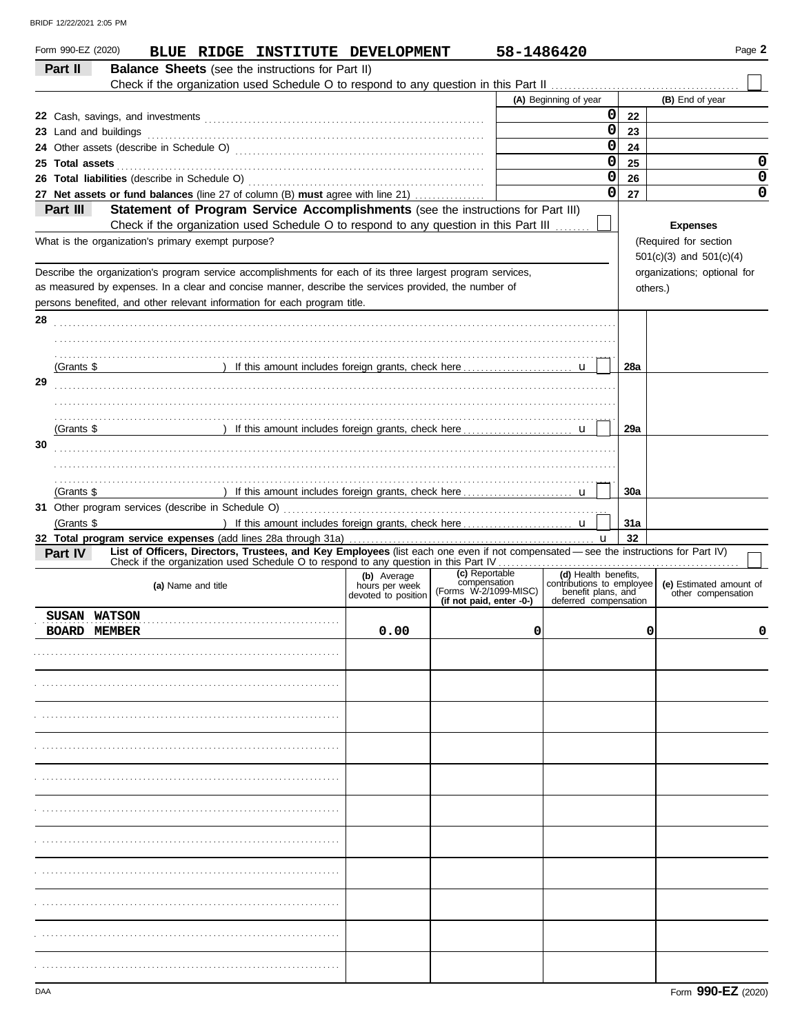| Form 990-EZ (2020)<br>Part II | BLUE RIDGE INSTITUTE DEVELOPMENT<br><b>Balance Sheets</b> (see the instructions for Part II)                                                                                                                                                                                                      |                                       |                                                                   | 58-1486420 |                                                                                                  |     | Page 2                                                                 |             |
|-------------------------------|---------------------------------------------------------------------------------------------------------------------------------------------------------------------------------------------------------------------------------------------------------------------------------------------------|---------------------------------------|-------------------------------------------------------------------|------------|--------------------------------------------------------------------------------------------------|-----|------------------------------------------------------------------------|-------------|
|                               |                                                                                                                                                                                                                                                                                                   |                                       |                                                                   |            | (A) Beginning of year                                                                            |     | (B) End of year                                                        |             |
|                               |                                                                                                                                                                                                                                                                                                   |                                       |                                                                   |            | 0                                                                                                |     |                                                                        |             |
|                               |                                                                                                                                                                                                                                                                                                   |                                       |                                                                   |            | $\mathbf 0$                                                                                      | 22  |                                                                        |             |
|                               | 23 Land and buildings <i>machines and contained and and buildings</i>                                                                                                                                                                                                                             |                                       |                                                                   |            |                                                                                                  | 23  |                                                                        |             |
|                               |                                                                                                                                                                                                                                                                                                   |                                       |                                                                   |            | $\mathbf 0$                                                                                      | 24  |                                                                        |             |
| 25 Total assets               |                                                                                                                                                                                                                                                                                                   |                                       |                                                                   |            | $\mathbf 0$                                                                                      | 25  |                                                                        | 0           |
|                               |                                                                                                                                                                                                                                                                                                   |                                       |                                                                   |            | $\mathbf 0$                                                                                      | 26  |                                                                        | 0           |
|                               | 27 Net assets or fund balances (line 27 of column (B) must agree with line 21)                                                                                                                                                                                                                    |                                       |                                                                   |            | 0                                                                                                | 27  |                                                                        | $\mathbf 0$ |
| Part III                      | Statement of Program Service Accomplishments (see the instructions for Part III)<br>Check if the organization used Schedule O to respond to any question in this Part III<br>What is the organization's primary exempt purpose?                                                                   |                                       |                                                                   |            |                                                                                                  |     | <b>Expenses</b><br>(Required for section                               |             |
|                               | Describe the organization's program service accomplishments for each of its three largest program services,<br>as measured by expenses. In a clear and concise manner, describe the services provided, the number of<br>persons benefited, and other relevant information for each program title. |                                       |                                                                   |            |                                                                                                  |     | $501(c)(3)$ and $501(c)(4)$<br>organizations; optional for<br>others.) |             |
| 28                            |                                                                                                                                                                                                                                                                                                   |                                       |                                                                   |            |                                                                                                  |     |                                                                        |             |
|                               |                                                                                                                                                                                                                                                                                                   |                                       |                                                                   |            |                                                                                                  |     |                                                                        |             |
|                               |                                                                                                                                                                                                                                                                                                   |                                       |                                                                   |            |                                                                                                  |     |                                                                        |             |
| (Grants \$                    | ) If this amount includes foreign grants, check here [ u                                                                                                                                                                                                                                          |                                       |                                                                   |            |                                                                                                  | 28a |                                                                        |             |
| 29                            |                                                                                                                                                                                                                                                                                                   |                                       |                                                                   |            |                                                                                                  |     |                                                                        |             |
|                               |                                                                                                                                                                                                                                                                                                   |                                       |                                                                   |            |                                                                                                  |     |                                                                        |             |
|                               |                                                                                                                                                                                                                                                                                                   |                                       |                                                                   |            |                                                                                                  |     |                                                                        |             |
| (Grants \$                    |                                                                                                                                                                                                                                                                                                   |                                       |                                                                   |            |                                                                                                  | 29a |                                                                        |             |
| 30                            |                                                                                                                                                                                                                                                                                                   |                                       |                                                                   |            |                                                                                                  |     |                                                                        |             |
|                               |                                                                                                                                                                                                                                                                                                   |                                       |                                                                   |            |                                                                                                  |     |                                                                        |             |
|                               |                                                                                                                                                                                                                                                                                                   |                                       |                                                                   |            |                                                                                                  |     |                                                                        |             |
| (Grants \$                    |                                                                                                                                                                                                                                                                                                   |                                       |                                                                   |            |                                                                                                  | 30a |                                                                        |             |
|                               |                                                                                                                                                                                                                                                                                                   |                                       |                                                                   |            |                                                                                                  |     |                                                                        |             |
| (Grants \$                    |                                                                                                                                                                                                                                                                                                   |                                       |                                                                   |            |                                                                                                  | 31a |                                                                        |             |
|                               |                                                                                                                                                                                                                                                                                                   |                                       |                                                                   |            |                                                                                                  | 32  |                                                                        |             |
| <b>Part IV</b>                | List of Officers, Directors, Trustees, and Key Employees (list each one even if not compensated - see the instructions for Part IV)                                                                                                                                                               |                                       |                                                                   |            |                                                                                                  |     |                                                                        |             |
|                               |                                                                                                                                                                                                                                                                                                   | (b) Average                           | (c) Reportable                                                    |            |                                                                                                  |     |                                                                        |             |
|                               | (a) Name and title                                                                                                                                                                                                                                                                                | hours per week<br>devoted to position | compensation<br>(Forms W-2/1099-MISC)<br>(if not paid, enter -0-) |            | (d) Health benefits,<br>contributions to employee<br>benefit plans, and<br>deferred compensation |     | (e) Estimated amount of<br>other compensation                          |             |
| SUSAN WATSON                  |                                                                                                                                                                                                                                                                                                   |                                       |                                                                   |            |                                                                                                  |     |                                                                        |             |
| <b>BOARD MEMBER</b>           |                                                                                                                                                                                                                                                                                                   | 0.00                                  |                                                                   | 0          |                                                                                                  | 0   |                                                                        | 0           |
|                               |                                                                                                                                                                                                                                                                                                   |                                       |                                                                   |            |                                                                                                  |     |                                                                        |             |
|                               |                                                                                                                                                                                                                                                                                                   |                                       |                                                                   |            |                                                                                                  |     |                                                                        |             |
|                               |                                                                                                                                                                                                                                                                                                   |                                       |                                                                   |            |                                                                                                  |     |                                                                        |             |
|                               |                                                                                                                                                                                                                                                                                                   |                                       |                                                                   |            |                                                                                                  |     |                                                                        |             |
|                               |                                                                                                                                                                                                                                                                                                   |                                       |                                                                   |            |                                                                                                  |     |                                                                        |             |
|                               |                                                                                                                                                                                                                                                                                                   |                                       |                                                                   |            |                                                                                                  |     |                                                                        |             |
|                               |                                                                                                                                                                                                                                                                                                   |                                       |                                                                   |            |                                                                                                  |     |                                                                        |             |
|                               |                                                                                                                                                                                                                                                                                                   |                                       |                                                                   |            |                                                                                                  |     |                                                                        |             |
|                               |                                                                                                                                                                                                                                                                                                   |                                       |                                                                   |            |                                                                                                  |     |                                                                        |             |
|                               |                                                                                                                                                                                                                                                                                                   |                                       |                                                                   |            |                                                                                                  |     |                                                                        |             |
|                               |                                                                                                                                                                                                                                                                                                   |                                       |                                                                   |            |                                                                                                  |     |                                                                        |             |
|                               |                                                                                                                                                                                                                                                                                                   |                                       |                                                                   |            |                                                                                                  |     |                                                                        |             |
|                               |                                                                                                                                                                                                                                                                                                   |                                       |                                                                   |            |                                                                                                  |     |                                                                        |             |
|                               |                                                                                                                                                                                                                                                                                                   |                                       |                                                                   |            |                                                                                                  |     |                                                                        |             |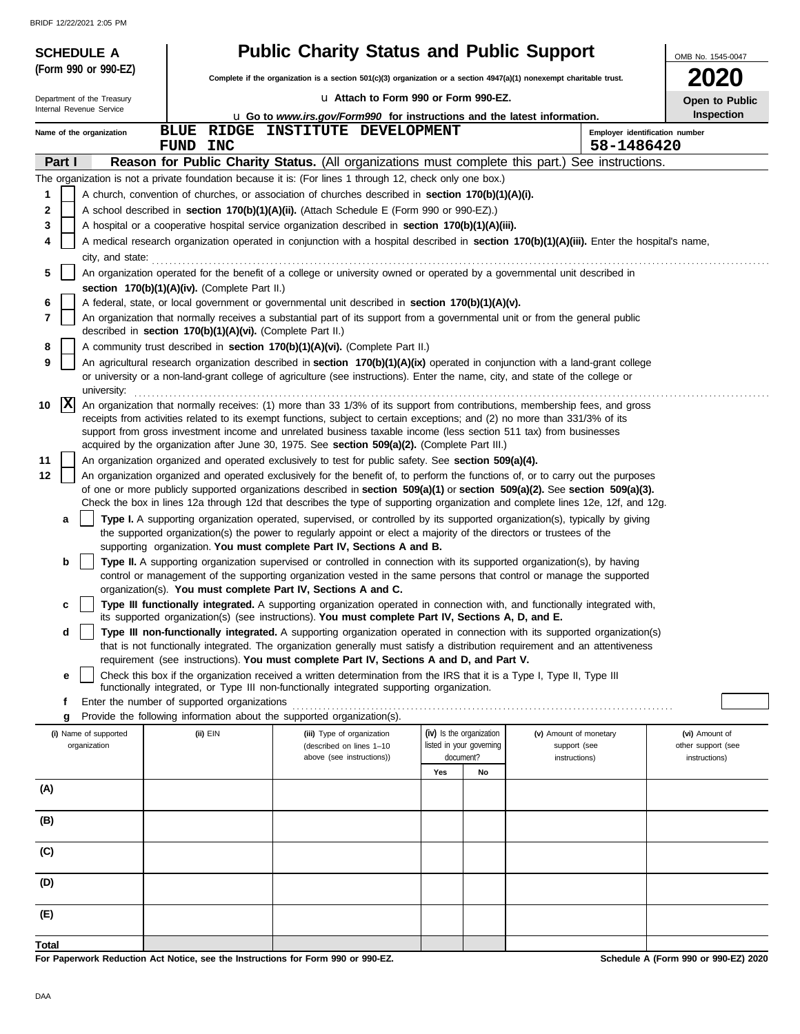| <b>SCHEDULE A</b>                     |                                                                                  | <b>Public Charity Status and Public Support</b>                                                                                                                                                                                                                 |                                                      |    |                                        | OMB No. 1545-0047                    |
|---------------------------------------|----------------------------------------------------------------------------------|-----------------------------------------------------------------------------------------------------------------------------------------------------------------------------------------------------------------------------------------------------------------|------------------------------------------------------|----|----------------------------------------|--------------------------------------|
| (Form 990 or 990-EZ)                  |                                                                                  | Complete if the organization is a section 501(c)(3) organization or a section 4947(a)(1) nonexempt charitable trust.                                                                                                                                            |                                                      |    |                                        | <b>2020</b>                          |
| Department of the Treasury            |                                                                                  | La Attach to Form 990 or Form 990-EZ.                                                                                                                                                                                                                           |                                                      |    |                                        | Open to Public                       |
| Internal Revenue Service              |                                                                                  | <b>u</b> Go to <i>www.irs.gov/Form990</i> for instructions and the latest information.                                                                                                                                                                          |                                                      |    |                                        | <b>Inspection</b>                    |
| Name of the organization              | <b>BLUE</b>                                                                      | RIDGE INSTITUTE DEVELOPMENT                                                                                                                                                                                                                                     |                                                      |    | Employer identification number         |                                      |
|                                       | FUND<br><b>INC</b>                                                               |                                                                                                                                                                                                                                                                 |                                                      |    | 58-1486420                             |                                      |
| Part I                                |                                                                                  | Reason for Public Charity Status. (All organizations must complete this part.) See instructions.                                                                                                                                                                |                                                      |    |                                        |                                      |
| 1                                     |                                                                                  | The organization is not a private foundation because it is: (For lines 1 through 12, check only one box.)<br>A church, convention of churches, or association of churches described in section 170(b)(1)(A)(i).                                                 |                                                      |    |                                        |                                      |
| 2                                     |                                                                                  | A school described in section 170(b)(1)(A)(ii). (Attach Schedule E (Form 990 or 990-EZ).)                                                                                                                                                                       |                                                      |    |                                        |                                      |
| 3                                     |                                                                                  | A hospital or a cooperative hospital service organization described in section 170(b)(1)(A)(iii).                                                                                                                                                               |                                                      |    |                                        |                                      |
| 4                                     |                                                                                  | A medical research organization operated in conjunction with a hospital described in section 170(b)(1)(A)(iii). Enter the hospital's name,                                                                                                                      |                                                      |    |                                        |                                      |
| city, and state:                      |                                                                                  |                                                                                                                                                                                                                                                                 |                                                      |    |                                        |                                      |
| 5                                     |                                                                                  | An organization operated for the benefit of a college or university owned or operated by a governmental unit described in                                                                                                                                       |                                                      |    |                                        |                                      |
| 6                                     | section 170(b)(1)(A)(iv). (Complete Part II.)                                    | A federal, state, or local government or governmental unit described in section 170(b)(1)(A)(v).                                                                                                                                                                |                                                      |    |                                        |                                      |
| 7                                     | described in section 170(b)(1)(A)(vi). (Complete Part II.)                       | An organization that normally receives a substantial part of its support from a governmental unit or from the general public                                                                                                                                    |                                                      |    |                                        |                                      |
| 8                                     |                                                                                  | A community trust described in section 170(b)(1)(A)(vi). (Complete Part II.)                                                                                                                                                                                    |                                                      |    |                                        |                                      |
| 9                                     |                                                                                  | An agricultural research organization described in section 170(b)(1)(A)(ix) operated in conjunction with a land-grant college<br>or university or a non-land-grant college of agriculture (see instructions). Enter the name, city, and state of the college or |                                                      |    |                                        |                                      |
| university:                           |                                                                                  |                                                                                                                                                                                                                                                                 |                                                      |    |                                        |                                      |
| $ {\bf x} $<br>10                     |                                                                                  | An organization that normally receives: (1) more than 33 1/3% of its support from contributions, membership fees, and gross<br>receipts from activities related to its exempt functions, subject to certain exceptions; and (2) no more than 331/3% of its      |                                                      |    |                                        |                                      |
|                                       |                                                                                  | support from gross investment income and unrelated business taxable income (less section 511 tax) from businesses                                                                                                                                               |                                                      |    |                                        |                                      |
| 11                                    |                                                                                  | acquired by the organization after June 30, 1975. See section 509(a)(2). (Complete Part III.)<br>An organization organized and operated exclusively to test for public safety. See section 509(a)(4).                                                           |                                                      |    |                                        |                                      |
| 12                                    |                                                                                  | An organization organized and operated exclusively for the benefit of, to perform the functions of, or to carry out the purposes                                                                                                                                |                                                      |    |                                        |                                      |
|                                       |                                                                                  | of one or more publicly supported organizations described in section 509(a)(1) or section 509(a)(2). See section 509(a)(3).                                                                                                                                     |                                                      |    |                                        |                                      |
|                                       |                                                                                  | Check the box in lines 12a through 12d that describes the type of supporting organization and complete lines 12e, 12f, and 12g.                                                                                                                                 |                                                      |    |                                        |                                      |
| a                                     |                                                                                  | Type I. A supporting organization operated, supervised, or controlled by its supported organization(s), typically by giving<br>the supported organization(s) the power to regularly appoint or elect a majority of the directors or trustees of the             |                                                      |    |                                        |                                      |
| b                                     |                                                                                  | supporting organization. You must complete Part IV, Sections A and B.<br>Type II. A supporting organization supervised or controlled in connection with its supported organization(s), by having                                                                |                                                      |    |                                        |                                      |
|                                       |                                                                                  | control or management of the supporting organization vested in the same persons that control or manage the supported                                                                                                                                            |                                                      |    |                                        |                                      |
|                                       |                                                                                  | organization(s). You must complete Part IV, Sections A and C.                                                                                                                                                                                                   |                                                      |    |                                        |                                      |
| c                                     |                                                                                  | Type III functionally integrated. A supporting organization operated in connection with, and functionally integrated with,<br>its supported organization(s) (see instructions). You must complete Part IV, Sections A, D, and E.                                |                                                      |    |                                        |                                      |
| d                                     |                                                                                  | Type III non-functionally integrated. A supporting organization operated in connection with its supported organization(s)                                                                                                                                       |                                                      |    |                                        |                                      |
|                                       |                                                                                  | that is not functionally integrated. The organization generally must satisfy a distribution requirement and an attentiveness<br>requirement (see instructions). You must complete Part IV, Sections A and D, and Part V.                                        |                                                      |    |                                        |                                      |
| е                                     |                                                                                  | Check this box if the organization received a written determination from the IRS that it is a Type I, Type II, Type III<br>functionally integrated, or Type III non-functionally integrated supporting organization.                                            |                                                      |    |                                        |                                      |
| f                                     | Enter the number of supported organizations                                      |                                                                                                                                                                                                                                                                 |                                                      |    |                                        |                                      |
| g                                     |                                                                                  | Provide the following information about the supported organization(s).                                                                                                                                                                                          |                                                      |    |                                        |                                      |
| (i) Name of supported<br>organization | (ii) EIN                                                                         | (iii) Type of organization<br>(described on lines 1-10                                                                                                                                                                                                          | (iv) Is the organization<br>listed in your governing |    | (v) Amount of monetary<br>support (see | (vi) Amount of<br>other support (see |
|                                       |                                                                                  | above (see instructions))                                                                                                                                                                                                                                       | document?                                            |    | instructions)                          | instructions)                        |
|                                       |                                                                                  |                                                                                                                                                                                                                                                                 | Yes                                                  | No |                                        |                                      |
| (A)                                   |                                                                                  |                                                                                                                                                                                                                                                                 |                                                      |    |                                        |                                      |
| (B)                                   |                                                                                  |                                                                                                                                                                                                                                                                 |                                                      |    |                                        |                                      |
| (C)                                   |                                                                                  |                                                                                                                                                                                                                                                                 |                                                      |    |                                        |                                      |
| (D)                                   |                                                                                  |                                                                                                                                                                                                                                                                 |                                                      |    |                                        |                                      |
| (E)                                   |                                                                                  |                                                                                                                                                                                                                                                                 |                                                      |    |                                        |                                      |
| Total                                 |                                                                                  |                                                                                                                                                                                                                                                                 |                                                      |    |                                        |                                      |
|                                       | For Paperwork Reduction Act Notice, see the Instructions for Form 990 or 990-EZ. |                                                                                                                                                                                                                                                                 |                                                      |    |                                        | Schedule A (Form 990 or 990-EZ) 2020 |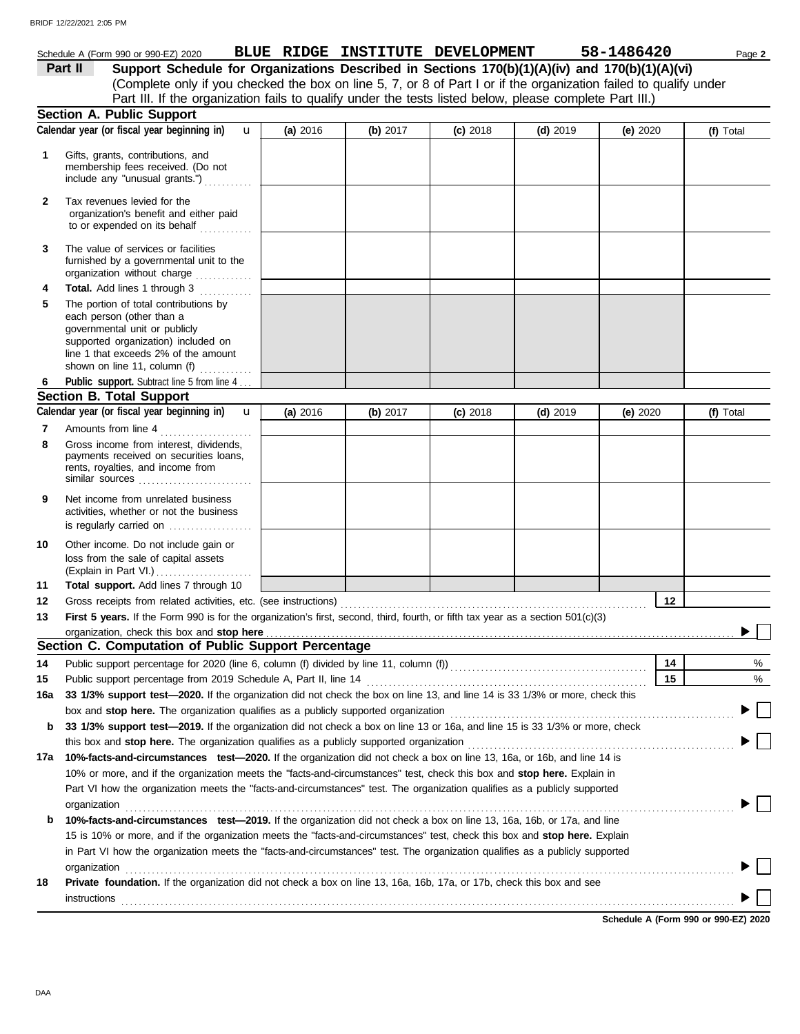|          | Schedule A (Form 990 or 990-EZ) 2020                                                                                                                                                                               |          | BLUE RIDGE INSTITUTE DEVELOPMENT |            |            | 58-1486420 | Page 2    |
|----------|--------------------------------------------------------------------------------------------------------------------------------------------------------------------------------------------------------------------|----------|----------------------------------|------------|------------|------------|-----------|
|          | Support Schedule for Organizations Described in Sections 170(b)(1)(A)(iv) and 170(b)(1)(A)(vi)<br>Part II                                                                                                          |          |                                  |            |            |            |           |
|          | (Complete only if you checked the box on line 5, 7, or 8 of Part I or if the organization failed to qualify under                                                                                                  |          |                                  |            |            |            |           |
|          | Part III. If the organization fails to qualify under the tests listed below, please complete Part III.)                                                                                                            |          |                                  |            |            |            |           |
|          | <b>Section A. Public Support</b>                                                                                                                                                                                   |          |                                  |            |            |            |           |
|          | Calendar year (or fiscal year beginning in)<br>$\mathbf{u}$                                                                                                                                                        | (a) 2016 | (b) 2017                         | $(c)$ 2018 | $(d)$ 2019 | (e) $2020$ | (f) Total |
| 1        | Gifts, grants, contributions, and<br>membership fees received. (Do not<br>include any "unusual grants.")                                                                                                           |          |                                  |            |            |            |           |
| 2        | Tax revenues levied for the<br>organization's benefit and either paid<br>to or expended on its behalf                                                                                                              |          |                                  |            |            |            |           |
| 3        | The value of services or facilities<br>furnished by a governmental unit to the<br>organization without charge                                                                                                      |          |                                  |            |            |            |           |
| 4        | Total. Add lines 1 through 3                                                                                                                                                                                       |          |                                  |            |            |            |           |
| 5        | The portion of total contributions by<br>each person (other than a<br>governmental unit or publicly<br>supported organization) included on<br>line 1 that exceeds 2% of the amount<br>shown on line 11, column (f) |          |                                  |            |            |            |           |
| 6        | Public support. Subtract line 5 from line 4                                                                                                                                                                        |          |                                  |            |            |            |           |
|          | <b>Section B. Total Support</b>                                                                                                                                                                                    |          |                                  |            |            |            |           |
|          | Calendar year (or fiscal year beginning in)<br>$\mathbf{u}$                                                                                                                                                        | (a) 2016 | (b) 2017                         | $(c)$ 2018 | $(d)$ 2019 | (e) 2020   | (f) Total |
| 7<br>8   | Amounts from line 4<br>Gross income from interest, dividends,                                                                                                                                                      |          |                                  |            |            |            |           |
|          | payments received on securities loans,<br>rents, royalties, and income from<br>similar sources $\ldots, \ldots, \ldots, \ldots, \ldots, \ldots$                                                                    |          |                                  |            |            |            |           |
| 9        | Net income from unrelated business<br>activities, whether or not the business<br>is regularly carried on                                                                                                           |          |                                  |            |            |            |           |
| 10       | Other income. Do not include gain or<br>loss from the sale of capital assets<br>(Explain in Part VI.)                                                                                                              |          |                                  |            |            |            |           |
| 11       | Total support. Add lines 7 through 10                                                                                                                                                                              |          |                                  |            |            |            |           |
| 12<br>13 | Gross receipts from related activities, etc. (see instructions)<br>First 5 years. If the Form 990 is for the organization's first, second, third, fourth, or fifth tax year as a section 501(c)(3)                 |          |                                  |            |            | 12         |           |
|          |                                                                                                                                                                                                                    |          |                                  |            |            |            |           |
|          | Section C. Computation of Public Support Percentage                                                                                                                                                                |          |                                  |            |            |            |           |
| 14       | Public support percentage for 2020 (line 6, column (f) divided by line 11, column (f) [[[[[[[[[[[[[[[[[[[[[[[                                                                                                      |          |                                  |            |            | 14         | %         |
| 15       | Public support percentage from 2019 Schedule A, Part II, line 14                                                                                                                                                   |          |                                  |            |            | 15         | %         |
| 16a      | 33 1/3% support test-2020. If the organization did not check the box on line 13, and line 14 is 33 1/3% or more, check this                                                                                        |          |                                  |            |            |            |           |
|          | box and stop here. The organization qualifies as a publicly supported organization                                                                                                                                 |          |                                  |            |            |            |           |
| b        | 33 1/3% support test-2019. If the organization did not check a box on line 13 or 16a, and line 15 is 33 1/3% or more, check                                                                                        |          |                                  |            |            |            |           |
|          | this box and stop here. The organization qualifies as a publicly supported organization                                                                                                                            |          |                                  |            |            |            |           |
|          | 17a 10%-facts-and-circumstances test-2020. If the organization did not check a box on line 13, 16a, or 16b, and line 14 is                                                                                         |          |                                  |            |            |            |           |
|          | 10% or more, and if the organization meets the "facts-and-circumstances" test, check this box and stop here. Explain in                                                                                            |          |                                  |            |            |            |           |
|          | Part VI how the organization meets the "facts-and-circumstances" test. The organization qualifies as a publicly supported                                                                                          |          |                                  |            |            |            |           |
| b        | organization<br>10%-facts-and-circumstances test-2019. If the organization did not check a box on line 13, 16a, 16b, or 17a, and line                                                                              |          |                                  |            |            |            |           |
|          | 15 is 10% or more, and if the organization meets the "facts-and-circumstances" test, check this box and stop here. Explain                                                                                         |          |                                  |            |            |            |           |
|          | in Part VI how the organization meets the "facts-and-circumstances" test. The organization qualifies as a publicly supported                                                                                       |          |                                  |            |            |            |           |
|          | organization                                                                                                                                                                                                       |          |                                  |            |            |            |           |
| 18       | Private foundation. If the organization did not check a box on line 13, 16a, 16b, 17a, or 17b, check this box and see                                                                                              |          |                                  |            |            |            |           |
|          | <b>instructions</b>                                                                                                                                                                                                |          |                                  |            |            |            |           |

**Schedule A (Form 990 or 990-EZ) 2020**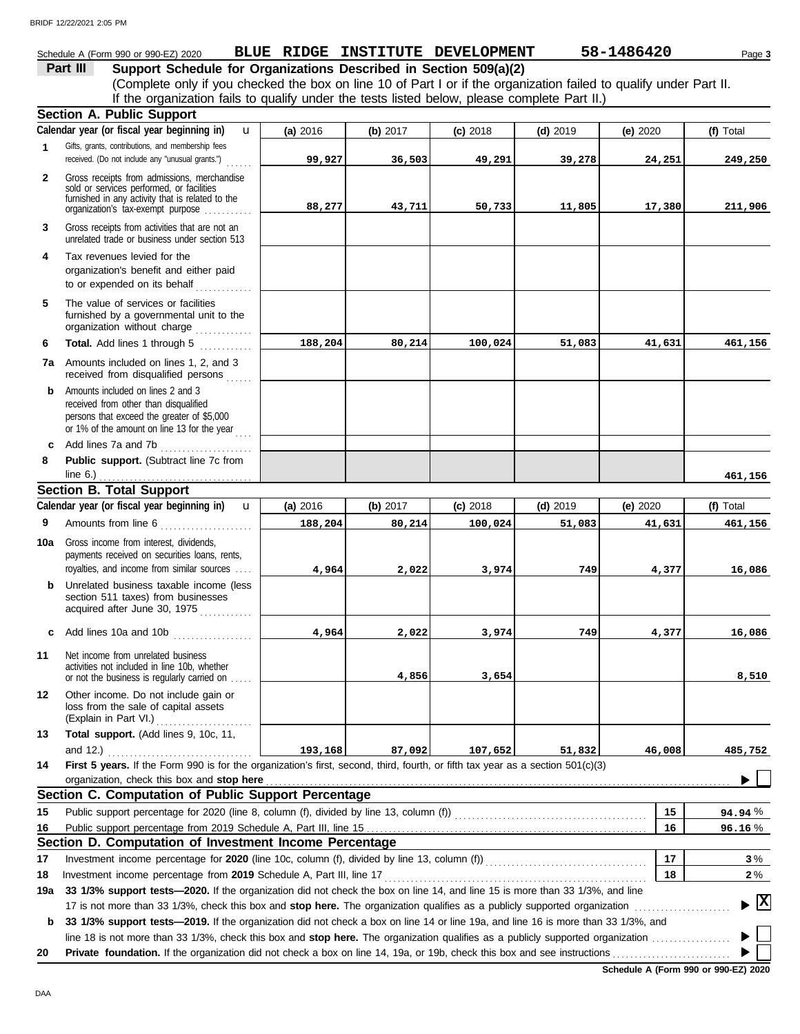|              | Schedule A (Form 990 or 990-EZ) 2020                                                                                                                                              |          |          | BLUE RIDGE INSTITUTE DEVELOPMENT |            | 58-1486420 | Page 3                                 |
|--------------|-----------------------------------------------------------------------------------------------------------------------------------------------------------------------------------|----------|----------|----------------------------------|------------|------------|----------------------------------------|
|              | Support Schedule for Organizations Described in Section 509(a)(2)<br>Part III                                                                                                     |          |          |                                  |            |            |                                        |
|              | (Complete only if you checked the box on line 10 of Part I or if the organization failed to qualify under Part II.                                                                |          |          |                                  |            |            |                                        |
|              | If the organization fails to qualify under the tests listed below, please complete Part II.)                                                                                      |          |          |                                  |            |            |                                        |
|              | <b>Section A. Public Support</b>                                                                                                                                                  |          |          |                                  |            |            |                                        |
|              | Calendar year (or fiscal year beginning in)<br>$\mathbf{u}$                                                                                                                       | (a) 2016 | (b) 2017 | $(c)$ 2018                       | $(d)$ 2019 | (e) 2020   | (f) Total                              |
| $\mathbf{1}$ | Gifts, grants, contributions, and membership fees<br>received. (Do not include any "unusual grants.")                                                                             | 99,927   | 36,503   | 49,291                           | 39,278     | 24,251     | 249,250                                |
| $\mathbf{2}$ | Gross receipts from admissions, merchandise<br>sold or services performed, or facilities<br>furnished in any activity that is related to the<br>organization's tax-exempt purpose | 88,277   | 43,711   | 50,733                           | 11,805     | 17,380     | 211,906                                |
| 3            | Gross receipts from activities that are not an<br>unrelated trade or business under section 513                                                                                   |          |          |                                  |            |            |                                        |
| 4            | Tax revenues levied for the<br>organization's benefit and either paid<br>to or expended on its behalf                                                                             |          |          |                                  |            |            |                                        |
| 5            | The value of services or facilities<br>furnished by a governmental unit to the<br>organization without charge                                                                     |          |          |                                  |            |            |                                        |
| 6            | Total. Add lines 1 through 5                                                                                                                                                      | 188,204  | 80,214   | 100,024                          | 51,083     | 41,631     | 461,156                                |
|              | 7a Amounts included on lines 1, 2, and 3<br>received from disqualified persons                                                                                                    |          |          |                                  |            |            |                                        |
| b            | Amounts included on lines 2 and 3<br>received from other than disqualified<br>persons that exceed the greater of \$5,000<br>or 1% of the amount on line 13 for the year $\ldots$  |          |          |                                  |            |            |                                        |
|              | c Add lines 7a and 7b                                                                                                                                                             |          |          |                                  |            |            |                                        |
| 8            | Public support. (Subtract line 7c from<br>line $6.$ )                                                                                                                             |          |          |                                  |            |            | 461,156                                |
|              | <b>Section B. Total Support</b>                                                                                                                                                   |          |          |                                  |            |            |                                        |
|              | Calendar year (or fiscal year beginning in)<br>$\mathbf{u}$                                                                                                                       | (a) 2016 | (b) 2017 | $(c)$ 2018                       | $(d)$ 2019 | (e) 2020   | (f) Total                              |
| 9            | Amounts from line 6                                                                                                                                                               | 188,204  | 80,214   | 100,024                          | 51,083     | 41,631     | 461,156                                |
| 10a          | Gross income from interest, dividends,<br>payments received on securities loans, rents,                                                                                           |          |          |                                  |            |            |                                        |
|              | royalties, and income from similar sources                                                                                                                                        | 4,964    | 2,022    | 3,974                            | 749        | 4,377      | 16,086                                 |
| b            | Unrelated business taxable income (less<br>section 511 taxes) from businesses<br>acquired after June 30, 1975                                                                     |          |          |                                  |            |            |                                        |
|              | c Add lines 10a and 10b<br>.                                                                                                                                                      | 4,964    | 2,022    | 3,974                            | 749        | 4,377      | 16,086                                 |
| 11           | Net income from unrelated business<br>activities not included in line 10b, whether<br>or not the business is regularly carried on                                                 |          | 4,856    | 3,654                            |            |            | 8,510                                  |
| 12           | Other income. Do not include gain or<br>loss from the sale of capital assets<br>(Explain in Part VI.)<br>.                                                                        |          |          |                                  |            |            |                                        |
| 13           | Total support. (Add lines 9, 10c, 11,<br>and 12.) $\ldots$                                                                                                                        | 193,168  | 87,092   | 107,652                          | 51,832     | 46,008     | 485,752                                |
| 14           | First 5 years. If the Form 990 is for the organization's first, second, third, fourth, or fifth tax year as a section 501(c)(3)                                                   |          |          |                                  |            |            |                                        |
|              | Section C. Computation of Public Support Percentage                                                                                                                               |          |          |                                  |            |            |                                        |
| 15           | Public support percentage for 2020 (line 8, column (f), divided by line 13, column (f)) [[[[[[[[[[[[[[[[[[[[[                                                                     |          |          |                                  |            | 15         | 94.94%                                 |
| 16           |                                                                                                                                                                                   |          |          |                                  |            | 16         | 96.16%                                 |
|              | Section D. Computation of Investment Income Percentage                                                                                                                            |          |          |                                  |            |            |                                        |
| 17           |                                                                                                                                                                                   |          |          |                                  |            | 17         | 3%                                     |
| 18           |                                                                                                                                                                                   |          |          |                                  |            | 18         | $2\%$                                  |
| 19a          | 33 1/3% support tests—2020. If the organization did not check the box on line 14, and line 15 is more than 33 1/3%, and line                                                      |          |          |                                  |            |            | $\blacktriangleright \boxed{\text{X}}$ |
| b            | 33 1/3% support tests-2019. If the organization did not check a box on line 14 or line 19a, and line 16 is more than 33 1/3%, and                                                 |          |          |                                  |            |            |                                        |
| 20           |                                                                                                                                                                                   |          |          |                                  |            |            |                                        |
|              |                                                                                                                                                                                   |          |          |                                  |            |            |                                        |